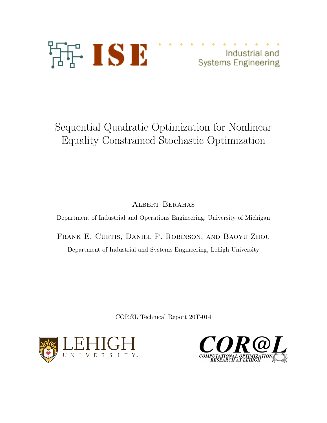

Industrial and **Systems Engineering** 

# Sequential Quadratic Optimization for Nonlinear Equality Constrained Stochastic Optimization

Albert Berahas

Department of Industrial and Operations Engineering, University of Michigan

Frank E. Curtis, Daniel P. Robinson, and Baoyu Zhou Department of Industrial and Systems Engineering, Lehigh University

COR@L Technical Report 20T-014



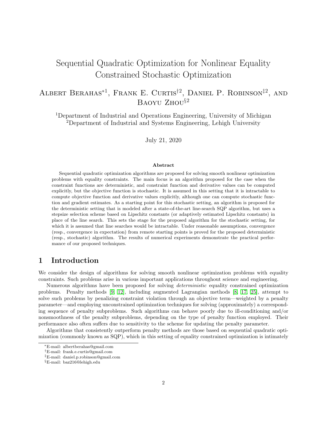## Sequential Quadratic Optimization for Nonlinear Equality Constrained Stochastic Optimization

## ALBERT BERAHAS<sup>\*1</sup>, FRANK E. CURTIS<sup>†2</sup>, DANIEL P. ROBINSON<sup>‡2</sup>, AND BAOYU ZHOU§<sup>2</sup>

<sup>1</sup>Department of Industrial and Operations Engineering, University of Michigan <sup>2</sup>Department of Industrial and Systems Engineering, Lehigh University

July 21, 2020

#### Abstract

Sequential quadratic optimization algorithms are proposed for solving smooth nonlinear optimization problems with equality constraints. The main focus is an algorithm proposed for the case when the constraint functions are deterministic, and constraint function and derivative values can be computed explicitly, but the objective function is stochastic. It is assumed in this setting that it is intractable to compute objective function and derivative values explicitly, although one can compute stochastic function and gradient estimates. As a starting point for this stochastic setting, an algorithm is proposed for the deterministic setting that is modeled after a state-of-the-art line-search SQP algorithm, but uses a stepsize selection scheme based on Lipschitz constants (or adaptively estimated Lipschitz constants) in place of the line search. This sets the stage for the proposed algorithm for the stochastic setting, for which it is assumed that line searches would be intractable. Under reasonable assumptions, convergence (resp., convergence in expectation) from remote starting points is proved for the proposed deterministic (resp., stochastic) algorithm. The results of numerical experiments demonstrate the practical performance of our proposed techniques.

## 1 Introduction

We consider the design of algorithms for solving smooth nonlinear optimization problems with equality constraints. Such problems arise in various important applications throughout science and engineering.

Numerous algorithms have been proposed for solving *deterministic* equality constrained optimization problems. Penalty methods [\[9,](#page-28-0) [12\]](#page-28-1), including augmented Lagrangian methods [\[8,](#page-28-2) [17,](#page-28-3) [25\]](#page-29-0), attempt to solve such problems by penalizing constraint violation through an objective term—weighted by a penalty parameter—and employing unconstrained optimization techniques for solving (approximately) a corresponding sequence of penalty subproblems. Such algorithms can behave poorly due to ill-conditioning and/or nonsmoothness of the penalty subproblems, depending on the type of penalty function employed. Their performance also often suffers due to sensitivity to the scheme for updating the penalty parameter.

Algorithms that consistently outperform penalty methods are those based on sequential quadratic optimization (commonly known as SQP), which in this setting of equality constrained optimization is intimately

<sup>∗</sup>E-mail: albertberahas@gmail.com

<sup>†</sup>E-mail: frank.e.curtis@gmail.com

<sup>‡</sup>E-mail: daniel.p.robinson@gmail.com

<sup>§</sup>E-mail: baz216@lehigh.edu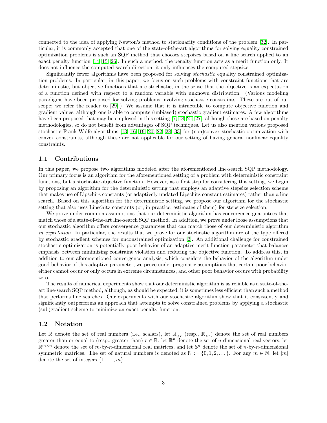connected to the idea of applying Newton's method to stationarity conditions of the problem [\[32\]](#page-29-1). In particular, it is commonly accepted that one of the state-of-the-art algorithms for solving equality constrained optimization problems is such an SQP method that chooses stepsizes based on a line search applied to an exact penalty function [\[14,](#page-28-4) [15,](#page-28-5) [26\]](#page-29-2). In such a method, the penalty function acts as a merit function only. It does not influence the computed search direction; it only influences the computed stepsize.

Significantly fewer algorithms have been proposed for solving stochastic equality constrained optimization problems. In particular, in this paper, we focus on such problems with constraint functions that are deterministic, but objective functions that are stochastic, in the sense that the objective is an expectation of a function defined with respect to a random variable with unknown distribution. (Various modeling paradigms have been proposed for solving problems involving stochastic constraints. These are out of our scope; we refer the reader to [\[29\]](#page-29-3).) We assume that it is intractable to compute objective function and gradient values, although one is able to compute (unbiased) stochastic gradient estimates. A few algorithms have been proposed that may be employed in this setting [\[7,](#page-28-6) [18,](#page-28-7) [21,](#page-28-8) [27\]](#page-29-4), although these are based on penalty methodologies, so do not benefit from advantages of SQP techniques. Let us also mention various proposed stochastic Frank-Wolfe algorithms [\[13,](#page-28-9) [16,](#page-28-10) [19,](#page-28-11) [20,](#page-28-12) [22,](#page-29-5) [28,](#page-29-6) [33\]](#page-29-7) for (non)convex stochastic optimization with convex constraints, although these are not applicable for our setting of having general nonlinear equality constraints.

## 1.1 Contributions

In this paper, we propose two algorithms modeled after the aforementioned line-search SQP methodology. Our primary focus is an algorithm for the aforementioned setting of a problem with deterministic constraint functions, but a stochastic objective function. However, as a first step for considering this setting, we begin by proposing an algorithm for the deterministic setting that employs an adaptive stepsize selection scheme that makes use of Lipschitz constants (or adaptively updated Lipschitz constant estimates) rather than a line search. Based on this algorithm for the deterministic setting, we propose our algorithm for the stochastic setting that also uses Lipschitz constants (or, in practice, estimates of them) for stepsize selection.

We prove under common assumptions that our deterministic algorithm has convergence guarantees that match those of a state-of-the-art line-search SQP method. In addition, we prove under loose assumptions that our stochastic algorithm offers convergence guarantees that can match those of our deterministic algorithm in expectation. In particular, the results that we prove for our stochastic algorithm are of the type offered by stochastic gradient schemes for unconstrained optimization [\[2\]](#page-27-0). An additional challenge for constrained stochastic optimization is potentially poor behavior of an adaptive merit function parameter that balances emphasis between minimizing constraint violation and reducing the objective function. To address this, in addition to our aforementioned convergence analysis, which considers the behavior of the algorithm under good behavior of this adaptive parameter, we prove under pragmatic assumptions that certain poor behavior either cannot occur or only occurs in extreme circumstances, and other poor behavior occurs with probability zero.

The results of numerical experiments show that our deterministic algorithm is as reliable as a state-of-theart line-search SQP method, although, as should be expected, it is sometimes less efficient than such a method that performs line searches. Our experiments with our stochastic algorithm show that it consistently and significantly outperforms an approach that attempts to solve constrained problems by applying a stochastic (sub)gradient scheme to minimize an exact penalty function.

#### 1.2 Notation

Let R denote the set of real numbers (i.e., scalars), let  $\mathbb{R}_{\geq r}$  (resp.,  $\mathbb{R}_{>r}$ ) denote the set of real numbers greater than or equal to (resp., greater than)  $r \in \mathbb{R}$ , let  $\mathbb{R}^n$  denote the set of *n*-dimensional real vectors, let  $\mathbb{R}^{m \times n}$  denote the set of m-by-n-dimensional real matrices, and let  $\mathbb{S}^n$  denote the set of n-by-n-dimensional symmetric matrices. The set of natural numbers is denoted as  $\mathbb{N} := \{0, 1, 2, \dots\}$ . For any  $m \in \mathbb{N}$ , let  $[m]$ denote the set of integers  $\{1, \ldots, m\}$ .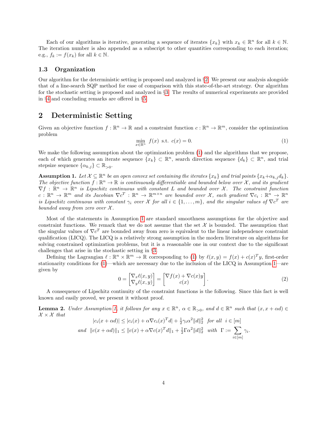Each of our algorithms is iterative, generating a sequence of iterates  $\{x_k\}$  with  $x_k \in \mathbb{R}^n$  for all  $k \in \mathbb{N}$ . The iteration number is also appended as a subscript to other quantities corresponding to each iteration; e.g.,  $f_k := f(x_k)$  for all  $k \in \mathbb{N}$ .

## 1.3 Organization

Our algorithm for the deterministic setting is proposed and analyzed in §[2.](#page-3-0) We present our analysis alongside that of a line-search SQP method for ease of comparison with this state-of-the-art strategy. Our algorithm for the stochastic setting is proposed and analyzed in §[3.](#page-12-0) The results of numerical experiments are provided in §[4](#page-25-0) and concluding remarks are offered in §[5.](#page-26-0)

## <span id="page-3-0"></span>2 Deterministic Setting

Given an objective function  $f : \mathbb{R}^n \to \mathbb{R}$  and a constraint function  $c : \mathbb{R}^n \to \mathbb{R}^m$ , consider the optimization problem

<span id="page-3-1"></span>
$$
\min_{x \in \mathbb{R}^n} f(x) \text{ s.t. } c(x) = 0. \tag{1}
$$

We make the following assumption about the optimization problem [\(1\)](#page-3-1) and the algorithms that we propose, each of which generates an iterate sequence  $\{x_k\} \subset \mathbb{R}^n$ , search direction sequence  $\{d_k\} \subset \mathbb{R}^n$ , and trial stepsize sequence  $\{\alpha_{k,j}\}\subset \mathbb{R}_{>0}$ .

<span id="page-3-2"></span>**Assumption 1.** Let  $\mathcal{X} \subseteq \mathbb{R}^n$  be an open convex set containing the iterates  $\{x_k\}$  and trial points  $\{x_k+\alpha_{k,j}d_k\}$ . The objective function  $f : \mathbb{R}^n \to \mathbb{R}$  is continuously differentiable and bounded below over X, and its gradient  $\nabla f : \mathbb{R}^n \to \mathbb{R}^n$  is Lipschitz continuous with constant L and bounded over X. The constraint function  $c: \mathbb{R}^n \to \mathbb{R}^m$  and its Jacobian  $\nabla c^T: \mathbb{R}^n \to \mathbb{R}^{m \times n}$  are bounded over X, each gradient  $\nabla c_i: \mathbb{R}^n \to \mathbb{R}^n$ is Lipschitz continuous with constant  $\gamma_i$  over X for all  $i \in \{1, \ldots, m\}$ , and the singular values of  $\nabla c^T$  are bounded away from zero over  $\mathcal{X}$ .

Most of the statements in Assumption [1](#page-3-2) are standard smoothness assumptions for the objective and constraint functions. We remark that we do not assume that the set  $\mathcal X$  is bounded. The assumption that the singular values of  $\nabla c^T$  are bounded away from zero is equivalent to the linear independence constraint qualification (LICQ). The LICQ is a relatively strong assumption in the modern literature on algorithms for solving constrained optimization problems, but it is a reasonable one in our context due to the significant challenges that arise in the stochastic setting in §[3.](#page-12-0)

Defining the Lagrangian  $\ell : \mathbb{R}^n \times \mathbb{R}^m \to \mathbb{R}$  corresponding to [\(1\)](#page-3-1) by  $\ell(x, y) = f(x) + c(x)^T y$ , first-order stationarity conditions for [\(1\)](#page-3-1)—which are necessary due to the inclusion of the LICQ in Assumption [1—](#page-3-2)are given by

<span id="page-3-3"></span>
$$
0 = \begin{bmatrix} \nabla_x \ell(x, y) \\ \nabla_y \ell(x, y) \end{bmatrix} = \begin{bmatrix} \nabla f(x) + \nabla c(x) y \\ c(x) \end{bmatrix}.
$$
 (2)

.

A consequence of Lipschitz continuity of the constraint functions is the following. Since this fact is well known and easily proved, we present it without proof.

<span id="page-3-4"></span>**Lemma 2.** Under Assumption [1,](#page-3-2) it follows for any  $x \in \mathbb{R}^n$ ,  $\alpha \in \mathbb{R}_{>0}$ , and  $d \in \mathbb{R}^n$  such that  $(x, x + \alpha d) \in$  $\mathcal{X} \times \mathcal{X}$  that  $\alpha$ 

$$
|c_i(x + \alpha d)| \le |c_i(x) + \alpha \nabla c_i(x)^T d| + \frac{1}{2} \gamma_i \alpha^2 ||d||_2^2 \text{ for all } i \in [m]
$$
  
and  $||c(x + \alpha d)||_1 \le ||c(x) + \alpha \nabla c(x)^T d||_1 + \frac{1}{2} \Gamma \alpha^2 ||d||_2^2$  with  $\Gamma := \sum_{i \in [m]} \gamma_i$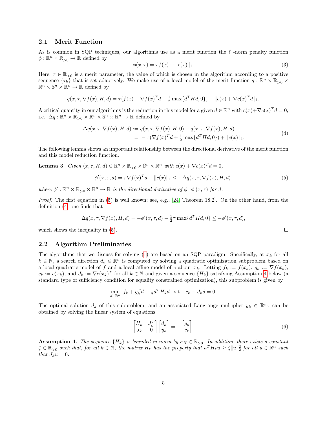### 2.1 Merit Function

As is common in SQP techniques, our algorithms use as a merit function the  $\ell_1$ -norm penalty function  $\phi: \mathbb{R}^n \times \mathbb{R}_{>0} \to \mathbb{R}$  defined by

<span id="page-4-5"></span>
$$
\phi(x,\tau) = \tau f(x) + ||c(x)||_1. \tag{3}
$$

Here,  $\tau \in \mathbb{R}_{>0}$  is a merit parameter, the value of which is chosen in the algorithm according to a positive sequence  $\{\tau_k\}$  that is set adaptively. We make use of a local model of the merit function  $q: \mathbb{R}^n \times \mathbb{R}_{>0} \times$  $\mathbb{R}^n \times \mathbb{S}^n \times \mathbb{R}^n \to \mathbb{R}$  defined by

$$
q(x, \tau, \nabla f(x), H, d) = \tau(f(x) + \nabla f(x)^T d + \frac{1}{2} \max\{d^T H d, 0\}) + ||c(x) + \nabla c(x)^T d||_1.
$$

A critical quantity in our algorithms is the reduction in this model for a given  $d \in \mathbb{R}^n$  with  $c(x) + \nabla c(x)^T d = 0$ , i.e.,  $\Delta q : \mathbb{R}^n \times \mathbb{R}_{>0} \times \mathbb{R}^n \times \mathbb{S}^n \times \mathbb{R}^n \to \mathbb{R}$  defined by

<span id="page-4-1"></span>
$$
\Delta q(x, \tau, \nabla f(x), H, d) := q(x, \tau, \nabla f(x), H, 0) - q(x, \tau, \nabla f(x), H, d)
$$
  
= 
$$
-\tau(\nabla f(x)^T d + \frac{1}{2} \max\{d^T H d, 0\}) + ||c(x)||_1.
$$
 (4)

The following lemma shows an important relationship between the directional derivative of the merit function and this model reduction function.

<span id="page-4-4"></span>**Lemma 3.** Given  $(x, \tau, H, d) \in \mathbb{R}^n \times \mathbb{R}_{>0} \times \mathbb{S}^n \times \mathbb{R}^n$  with  $c(x) + \nabla c(x)^T d = 0$ ,

<span id="page-4-0"></span>
$$
\phi'(x,\tau,d) = \tau \nabla f(x)^T d - \|c(x)\|_1 \leq -\Delta q(x,\tau, \nabla f(x), H, d). \tag{5}
$$

where  $\phi': \mathbb{R}^n \times \mathbb{R}_{>0} \times \mathbb{R}^n \to \mathbb{R}$  is the directional derivative of  $\phi$  at  $(x, \tau)$  for d.

Proof. The first equation in [\(5\)](#page-4-0) is well known; see, e.g., [\[24,](#page-29-8) Theorem 18.2]. On the other hand, from the definition [\(4\)](#page-4-1) one finds that

$$
\Delta q(x, \tau, \nabla f(x), H, d) = -\phi'(x, \tau, d) - \frac{1}{2}\tau \max\{d^T Hd, 0\} \le -\phi'(x, \tau, d),
$$

which shows the inequality in [\(5\)](#page-4-0).

### 2.2 Algorithm Preliminaries

The algorithms that we discuss for solving [\(1\)](#page-3-1) are based on an SQP paradigm. Specifically, at  $x_k$  for all  $k \in \mathbb{N}$ , a search direction  $d_k \in \mathbb{R}^n$  is computed by solving a quadratic optimization subproblem based on a local quadratic model of f and a local affine model of c about  $x_k$ . Letting  $f_k := f(x_k)$ ,  $g_k := \nabla f(x_k)$ ,  $c_k := c(x_k)$ , and  $J_k := \nabla c(x_k)^T$  for all  $k \in \mathbb{N}$  and given a sequence  $\{H_k\}$  satisfying Assumption [4](#page-4-2) below (a standard type of sufficiency condition for equality constrained optimization), this subproblem is given by

$$
\min_{d \in \mathbb{R}^n} f_k + g_k^T d + \frac{1}{2} d^T H_k d \text{ s.t. } c_k + J_k d = 0.
$$

The optimal solution  $d_k$  of this subproblem, and an associated Langrange multiplier  $y_k \in \mathbb{R}^m$ , can be obtained by solving the linear system of equations

<span id="page-4-3"></span>
$$
\begin{bmatrix} H_k & J_k^T \\ J_k & 0 \end{bmatrix} \begin{bmatrix} d_k \\ y_k \end{bmatrix} = - \begin{bmatrix} g_k \\ c_k \end{bmatrix} . \tag{6}
$$

<span id="page-4-2"></span>**Assumption 4.** The sequence  ${H_k}$  is bounded in norm by  $\kappa_H \in \mathbb{R}_{>0}$ . In addition, there exists a constant  $\zeta \in \mathbb{R}_{>0}$  such that, for all  $k \in \mathbb{N}$ , the matrix  $H_k$  has the property that  $u^T H_k u \geq \zeta ||u||_2^2$  for all  $u \in \mathbb{R}^n$  such that  $J_k u = 0$ .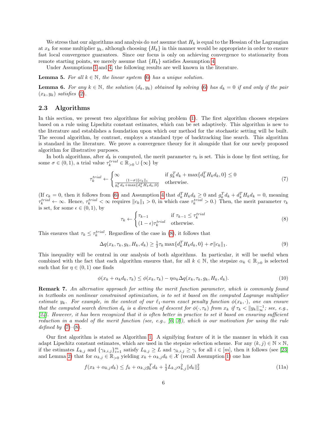We stress that our algorithms and analysis do *not* assume that  $H_k$  is equal to the Hessian of the Lagrangian at  $x_k$  for some multiplier  $y_k$ , although choosing  $\{H_k\}$  in this manner would be appropriate in order to ensure fast local convergence guarantees. Since our focus is only on achieving convergence to stationarity from remote starting points, we merely assume that  ${H_k}$  satisfies Assumption [4.](#page-4-2)

Under Assumptions [1](#page-3-2) and [4,](#page-4-2) the following results are well known in the literature.

<span id="page-5-7"></span>**Lemma 5.** For all  $k \in \mathbb{N}$ , the linear system [\(6\)](#page-4-3) has a unique solution.

<span id="page-5-5"></span>**Lemma 6.** For any  $k \in \mathbb{N}$ , the solution  $(d_k, y_k)$  obtained by solving [\(6\)](#page-4-3) has  $d_k = 0$  if and only if the pair  $(x_k, y_k)$  satisfies [\(2\)](#page-3-3).

## 2.3 Algorithms

In this section, we present two algorithms for solving problem [\(1\)](#page-3-1). The first algorithm chooses stepsizes based on a rule using Lipschitz constant estimates, which can be set adaptively. This algorithm is new to the literature and establishes a foundation upon which our method for the stochastic setting will be built. The second algorithm, by contrast, employs a standard type of backtracking line search. This algorithm is standard in the literature. We prove a convergence theory for it alongside that for our newly proposed algorithm for illustrative purposes.

In both algorithms, after  $d_k$  is computed, the merit parameter  $\tau_k$  is set. This is done by first setting, for some  $\sigma \in (0, 1)$ , a trial value  $\tau_k^{trial} \in \mathbb{R}_{>0} \cup \{\infty\}$  by

<span id="page-5-1"></span>
$$
\tau_k^{trial} \leftarrow \begin{cases} \infty & \text{if } g_k^T d_k + \max\{d_k^T H_k d_k, 0\} \le 0\\ \frac{(1-\sigma)\|c_k\|_1}{g_k^T d_k + \max\{d_k^T H_k d_k, 0\}} & \text{otherwise.} \end{cases} \tag{7}
$$

(If  $c_k = 0$ , then it follows from [\(6\)](#page-4-3) and Assumption [4](#page-4-2) that  $d_k^T H_k d_k \geq 0$  and  $g_k^T d_k + d_k^T H_k d_k = 0$ , meaning  $\tau_k^{trial} \leftarrow \infty$ . Hence,  $\tau_k^{trial} < \infty$  requires  $||c_k||_1 > 0$ , in which case  $\tau_k^{trial} > 0$ .) Then, the merit parameter  $\tau_k$ is set, for some  $\epsilon \in (0,1)$ , by

<span id="page-5-0"></span>
$$
\tau_k \leftarrow \begin{cases} \tau_{k-1} & \text{if } \tau_{k-1} \le \tau_k^{trial} \\ (1-\epsilon)\tau_k^{trial} & \text{otherwise.} \end{cases} \tag{8}
$$

This ensures that  $\tau_k \leq \tau_k^{trial}$ . Regardless of the case in [\(8\)](#page-5-0), it follows that

<span id="page-5-6"></span>
$$
\Delta q(x_k, \tau_k, g_k, H_k, d_k) \ge \frac{1}{2} \tau_k \max\{d_k^T H_k d_k, 0\} + \sigma \|c_k\|_1.
$$
\n(9)

This inequality will be central in our analysis of both algorithms. In particular, it will be useful when combined with the fact that each algorithm ensures that, for all  $k \in \mathbb{N}$ , the stepsize  $\alpha_k \in \mathbb{R}_{>0}$  is selected such that for  $\eta \in (0,1)$  one finds

<span id="page-5-3"></span>
$$
\phi(x_k + \alpha_k d_k, \tau_k) \le \phi(x_k, \tau_k) - \eta \alpha_k \Delta q(x_k, \tau_k, g_k, H_k, d_k). \tag{10}
$$

Remark 7. An alternative approach for setting the merit function parameter, which is commonly found in textbooks on nonlinear constrained optimization, is to set it based on the computed Lagrange multiplier estimate  $y_k$ . For example, in the context of our  $\ell_1$ -norm exact penalty function  $\phi(x_k, \cdot)$ , one can ensure that the computed search direction  $d_k$  is a direction of descent for  $\phi(\cdot, \tau_k)$  from  $x_k$  if  $\tau_k < ||y_k||_{\infty}^{-1}$ ; see, e.g., [\[24\]](#page-29-8). However, it has been recognized that it is often better in practice to set it based on ensuring sufficient reduction in a model of the merit function (see, e.g.,  $[6, 3]$  $[6, 3]$ ), which is our motivation for using the rule defined by  $(7)-(8)$  $(7)-(8)$  $(7)-(8)$ .

Our first algorithm is stated as Algorithm [1.](#page-7-0) A signifying feature of it is the manner in which it can adapt Lipschitz constant estimates, which are used in the stepsize selection scheme. For any  $(k, j) \in \mathbb{N} \times \mathbb{N}$ , if the estimates  $L_{k,j}$  and  $\{\gamma_{k,i,j}\}_{i=1}^m$  satisfy  $L_{k,j} \geq L$  and  $\gamma_{k,i,j} \geq \gamma_i$  for all  $i \in [m]$ , then it follows (see [\[23\]](#page-29-9) and Lemma [2\)](#page-3-4) that for  $\alpha_{k,j} \in \mathbb{R}_{>0}$  yielding  $x_k + \alpha_{k,j} d_k \in \mathcal{X}$  (recall Assumption [1\)](#page-3-2) one has

<span id="page-5-4"></span><span id="page-5-2"></span>
$$
f(x_k + \alpha_{k,j}d_k) \le f_k + \alpha_{k,j}g_k^T d_k + \frac{1}{2}L_{k,j}\alpha_{k,j}^2 \|d_k\|_2^2
$$
\n(11a)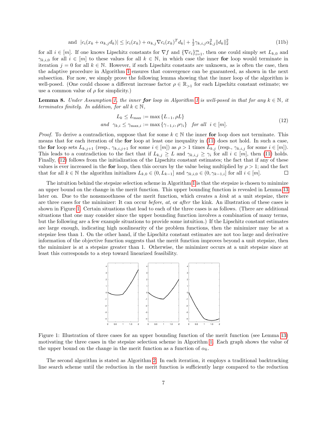and 
$$
|c_i(x_k + \alpha_{k,j}d_k)| \le |c_i(x_k) + \alpha_{k,j}\nabla c_i(x_k)^T d_k| + \frac{1}{2}\gamma_{k,i,j}\alpha_{k,j}^2 ||d_k||_2^2
$$
 (11b)

for all  $i \in [m]$ . If one knows Lipschitz constants for  $\nabla f$  and  $\{\nabla c_i\}_{i=1}^m$ , then one could simply set  $L_{k,0}$  and  $\gamma_{k,i,0}$  for all  $i \in [m]$  to these values for all  $k \in \mathbb{N}$ , in which case the inner for loop would terminate in iteration  $j = 0$  for all  $k \in \mathbb{N}$ . However, if such Lipschitz constants are unknown, as is often the case, then the adaptive procedure in Algorithm [1](#page-7-0) ensures that convergence can be guaranteed, as shown in the next subsection. For now, we simply prove the following lemma showing that the inner loop of the algorithm is well-posed. (One could choose a different increase factor  $\rho \in \mathbb{R}_{>1}$  for each Lipschitz constant estimate; we use a common value of  $\rho$  for simplicity.)

<span id="page-6-3"></span>**Lemma 8.** Under Assumption [1,](#page-3-2) the inner for loop in Algorithm [1](#page-7-0) is well-posed in that for any  $k \in \mathbb{N}$ , it terminates finitely. In addition, for all  $k \in \mathbb{N}$ ,

<span id="page-6-2"></span><span id="page-6-0"></span>
$$
L_k \le L_{\text{max}} := \max\{L_{-1}, \rho L\}
$$
  
and  $\gamma_{k,i} \le \gamma_{\text{max},i} := \max\{\gamma_{-1,i}, \rho \gamma_i\}$  for all  $i \in [m]$ . (12)

*Proof.* To derive a contradiction, suppose that for some  $k \in \mathbb{N}$  the inner for loop does not terminate. This means that for each iteration of the for loop at least one inequality in [\(11\)](#page-5-2) does not hold. In such a case, the for loop sets  $L_{k,j+1}$  (resp.,  $\gamma_{k,i,j+1}$  for some  $i \in [m]$ ) as  $\rho > 1$  times  $L_{k,j}$  (resp.,  $\gamma_{k,i,j}$  for some  $i \in [m]$ ). This leads to a contradiction to the fact that if  $L_{k,j} \geq L$  and  $\gamma_{k,i,j} \geq \gamma_i$  for all  $i \in [m]$ , then [\(11\)](#page-5-2) holds. Finally, [\(12\)](#page-6-0) follows from the initialization of the Lipschitz constant estimates; the fact that if any of these values is ever increased in the for loop, then this occurs by the value being multiplied by  $\rho > 1$ ; and the fact that for all  $k \in \mathbb{N}$  the algorithm initializes  $L_{k,0} \in (0, L_{k-1}]$  and  $\gamma_{k,i,0} \in (0, \gamma_{k-1,i}]$  for all  $i \in [m]$ .  $\Box$ 

The intuition behind the stepsize selection scheme in Algorithm [1](#page-7-0) is that the stepsize is chosen to minimize an upper bound on the change in the merit function. This upper bounding function is revealed in Lemma [13](#page-9-0) later on. Due to the nonsmoothness of the merit function, which creates a kink at a unit stepsize, there are three cases for the minimizer: It can occur before, at, or after the kink. An illustration of these cases is shown in Figure [1.](#page-6-1) Certain situations that lead to each of the three cases is as follows. (There are additional situations that one may consider since the upper bounding function involves a combination of many terms, but the following are a few example situations to provide some intuition.) If the Lipschitz constant estimates are large enough, indicating high nonlinearity of the problem functions, then the minimizer may be at a stepsize less than 1. On the other hand, if the Lipschitz constant estimates are not too large and derivative information of the objective function suggests that the merit function improves beyond a unit stepsize, then the minimizer is at a stepsize greater than 1. Otherwise, the minimizer occurs at a unit stepsize since at least this corresponds to a step toward linearized feasibility.

<span id="page-6-1"></span>

Figure 1: Illustration of three cases for an upper bounding function of the merit function (see Lemma [13\)](#page-9-0) motivating the three cases in the stepsize selection scheme in Algorithm [1.](#page-7-0) Each graph shows the value of the upper bound on the change in the merit function as a function of  $\alpha_k$ .

The second algorithm is stated as Algorithm [2.](#page-8-0) In each iteration, it employs a traditional backtracking line search scheme until the reduction in the merit function is sufficiently large compared to the reduction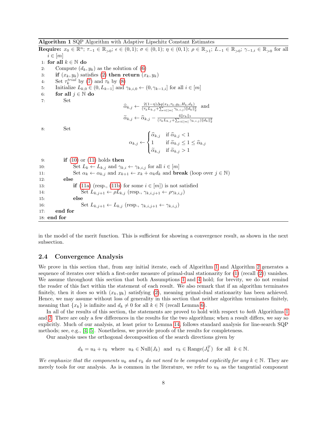Algorithm 1 SQP Algorithm with Adaptive Lipschitz Constant Estimates

<span id="page-7-0"></span>Require:  $x_0 \in \mathbb{R}^n$ ;  $\tau_{-1} \in \mathbb{R}_{>0}$ ;  $\epsilon \in (0,1)$ ;  $\sigma \in (0,1)$ ;  $\eta \in (0,1)$ ;  $\rho \in \mathbb{R}_{>1}$ ;  $L_{-1} \in \mathbb{R}_{>0}$ ;  $\gamma_{-1,i} \in \mathbb{R}_{>0}$  for all  $i \in [m]$ 1: for all  $k \in \mathbb{N}$  do 2: Compute  $(d_k, y_k)$  as the solution of [\(6\)](#page-4-3) 3: if  $(x_k, y_k)$  satisfies [\(2\)](#page-3-3) then return  $(x_k, y_k)$ 4: Set  $\tau_k^{trial}$  by [\(7\)](#page-5-1) and  $\tau_k$  by [\(8\)](#page-5-0) 5: Initialize  $L_{k,0} \in (0, L_{k-1}]$  and  $\gamma_{k,i,0} \leftarrow (0, \gamma_{k-1,i}]$  for all  $i \in [m]$ 6: for all  $j \in \mathbb{N}$  do 7: Set  $\hat{\alpha}_{k,j} \leftarrow \frac{2(1-\eta)\Delta q(x_k, \tau_k, g_k, H_k, d_k)}{(\tau_k L_{k,j} + \sum_{i \in [m]} \gamma_{k,i,j}) ||d_k||_2^2}$  and  $\widetilde{\alpha}_{k,j} \leftarrow \widehat{\alpha}_{k,j} - \frac{4\|c_k\|_1}{(\tau_k L_{k,j} + \sum_{i \in [m]} \gamma_i)}$  $(\tau_k L_{k,j} + \sum_{i \in [m]} \gamma_{k,i,j}) ||d_k||_2^2$ 8: Set  $\alpha_{k,j} \leftarrow$  $\sqrt{ }$  $\int$  $\overline{\mathcal{L}}$  $\widehat{\alpha}_{k,j}$  if  $\widehat{\alpha}_{k,j} < 1$ 1 if  $\widetilde{\alpha}_{k,j} \leq 1 \leq \widehat{\alpha}_{k,j}$  $\widetilde{\alpha}_{k,j}$  if  $\widetilde{\alpha}_{k,j} > 1$ 9: **if**  $(10)$  or  $(11)$  holds then 10: Set  $L_k \leftarrow L_{k,j}$  and  $\gamma_{k,i} \leftarrow \gamma_{k,i,j}$  for all  $i \in [m]$ 11: Set  $\alpha_k \leftarrow \alpha_{k,j}$  and  $x_{k+1} \leftarrow x_k + \alpha_k d_k$  and **break** (loop over  $j \in \mathbb{N}$ ) 12: else 13: **if** [\(11a\)](#page-5-4) (resp., [\(11b\)](#page-6-2) for some  $i \in [m]$ ) is not satisfied 14: Set  $L_{k,j+1} \leftarrow \rho L_{k,j}$  (resp.,  $\gamma_{k,i,j+1} \leftarrow \rho \gamma_{k,i,j}$ ) 15: else 16: Set  $L_{k,i+1} \leftarrow L_{k,i}$  (resp.,  $\gamma_{k,i,i+1} \leftarrow \gamma_{k,i,j}$ ) 17: end for 18: end for

in the model of the merit function. This is sufficient for showing a convergence result, as shown in the next subsection.

## 2.4 Convergence Analysis

We prove in this section that, from any initial iterate, each of Algorithm [1](#page-7-0) and Algorithm [2](#page-8-0) generates a sequence of iterates over which a first-order measure of primal-dual stationarity for [\(1\)](#page-3-1) (recall [\(2\)](#page-3-3)) vanishes. We assume throughout this section that both Assumptions [1](#page-3-2) and [4](#page-4-2) hold; for brevity, we do not remind the reader of this fact within the statement of each result. We also remark that if an algorithm terminates finitely, then it does so with  $(x_k, y_k)$  satisfying [\(2\)](#page-3-3), meaning primal-dual stationarity has been achieved. Hence, we may assume without loss of generality in this section that neither algorithm terminates finitely, meaning that  $\{x_k\}$  is infinite and  $d_k \neq 0$  for all  $k \in \mathbb{N}$  (recall Lemma [6\)](#page-5-5).

In all of the results of this section, the statements are proved to hold with respect to both Algorithms [1](#page-7-0) and [2.](#page-8-0) There are only a few differences in the results for the two algorithms; when a result differs, we say so explicitly. Much of our analysis, at least prior to Lemma [14,](#page-9-1) follows standard analysis for line-search SQP methods; see, e.g., [\[4,](#page-28-14) [5\]](#page-28-15). Nonetheless, we provide proofs of the results for completeness.

Our analysis uses the orthogonal decomposition of the search directions given by

 $d_k = u_k + v_k$  where  $u_k \in Null(J_k)$  and  $v_k \in Range(J_k^T)$  for all  $k \in \mathbb{N}$ .

We emphasize that the components  $u_k$  and  $v_k$  do not need to be computed explicitly for any  $k \in \mathbb{N}$ . They are merely tools for our analysis. As is common in the literature, we refer to  $u_k$  as the tangential component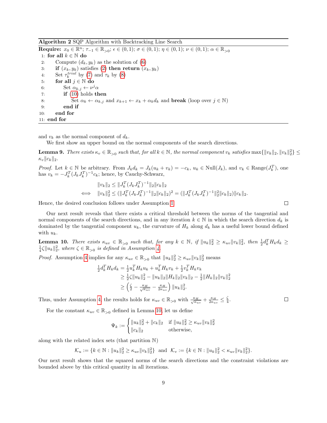Algorithm 2 SQP Algorithm with Backtracking Line Search

<span id="page-8-0"></span> $\textbf{Required: } x_0 \in \mathbb{R}^n; \, \tau_{-1} \in \mathbb{R}_{>0}; \, \epsilon \in (0,1); \, \sigma \in (0,1); \, \eta \in (0,1); \, \nu \in (0,1); \, \alpha \in \mathbb{R}_{>0}$ 1: for all  $k \in \mathbb{N}$  do 2: Compute  $(d_k, y_k)$  as the solution of [\(6\)](#page-4-3) 3: if  $(x_k, y_k)$  satisfies [\(2\)](#page-3-3) then return  $(x_k, y_k)$ 4: Set  $\tau_k^{trial}$  by [\(7\)](#page-5-1) and  $\tau_k$  by [\(8\)](#page-5-0) 5: for all  $j \in \mathbb{N}$  do 6: Set  $\alpha_{k,j} \leftarrow \nu^j \alpha$ 7: **if**  $(10)$  holds then 8: Set  $\alpha_k \leftarrow \alpha_{k,j}$  and  $x_{k+1} \leftarrow x_k + \alpha_k d_k$  and **break** (loop over  $j \in \mathbb{N}$ ) 9: end if 10: end for 11: end for

and  $v_k$  as the normal component of  $d_k$ .

We first show an upper bound on the normal components of the search directions.

<span id="page-8-2"></span>**Lemma 9.** There exists  $\kappa_v \in \mathbb{R}_{>0}$  such that, for all  $k \in \mathbb{N}$ , the normal component  $v_k$  satisfies  $\max\{\Vert v_k \Vert_2, \Vert v_k \Vert_2^2\} \leq$  $\kappa_v ||c_k||_2.$ 

*Proof.* Let  $k \in \mathbb{N}$  be arbitrary. From  $J_k d_k = J_k(u_k + v_k) = -c_k$ ,  $u_k \in \text{Null}(J_k)$ , and  $v_k \in \text{Range}(J_k^T)$ , one has  $v_k = -J_k^T (J_k J_k^T)^{-1} c_k$ ; hence, by Cauchy-Schwarz,

$$
||v_k||_2 \le ||J_k^T (J_k J_k^T)^{-1}||_2 ||c_k||_2
$$
  

$$
\iff ||v_k||_2^2 \le (||J_k^T (J_k J_k^T)^{-1}||_2 ||c_k||_2)^2 = (||J_k^T (J_k J_k^T)^{-1}||_2^2 ||c_k||_2)||c_k||_2.
$$

Hence, the desired conclusion follows under Assumption [1.](#page-3-2)

Our next result reveals that there exists a critical threshold between the norms of the tangential and normal components of the search directions, and in any iteration  $k \in \mathbb{N}$  in which the search direction  $d_k$  is dominated by the tangential component  $u_k$ , the curvature of  $H_k$  along  $d_k$  has a useful lower bound defined with  $u_k$ .

<span id="page-8-1"></span>**Lemma 10.** There exists  $\kappa_{uv} \in \mathbb{R}_{>0}$  such that, for any  $k \in \mathbb{N}$ , if  $||u_k||_2^2 \ge \kappa_{uv} ||v_k||_2^2$ , then  $\frac{1}{2} d_k^T H_k d_k \ge$  $\frac{1}{4}\zeta||u_k||_2^2$ , where  $\zeta \in \mathbb{R}_{>0}$  is defined in Assumption [4.](#page-4-2)

*Proof.* Assumption [4](#page-4-2) implies for any  $\kappa_{uv} \in \mathbb{R}_{>0}$  that  $||u_k||_2^2 \ge \kappa_{uv} ||v_k||_2^2$  means

$$
\frac{1}{2}d_k^T H_k d_k = \frac{1}{2}u_k^T H_k u_k + u_k^T H_k v_k + \frac{1}{2}v_k^T H_k v_k
$$
  
\n
$$
\geq \frac{1}{2}\zeta \|u_k\|_2^2 - \|u_k\|_2 \|H_k\|_2 \|v_k\|_2 - \frac{1}{2} \|H_k\|_2 \|v_k\|_2^2
$$
  
\n
$$
\geq \left(\frac{\zeta}{2} - \frac{\kappa_H}{\sqrt{\kappa_{uv}}} - \frac{\kappa_H}{2\kappa_{uv}}\right) \|u_k\|_2^2.
$$

Thus, under Assumption [4,](#page-4-2) the results holds for  $\kappa_{uv} \in \mathbb{R}_{>0}$  with  $\frac{\kappa_H}{\sqrt{\kappa_{uv}}} + \frac{\kappa_H}{2\kappa_{uv}} \leq \frac{\zeta}{4}$ .

For the constant  $\kappa_{uv} \in \mathbb{R}_{>0}$  defined in Lemma [10,](#page-8-1) let us define

$$
\Psi_k := \begin{cases} \|u_k\|_2^2 + \|c_k\|_2 & \text{if } \|u_k\|_2^2 \ge \kappa_{uv} \|v_k\|_2^2 \\ \|c_k\|_2 & \text{otherwise,} \end{cases}
$$

along with the related index sets (that partition N)

 $\mathcal{K}_u := \{ k \in \mathbb{N} : ||u_k||_2^2 \ge \kappa_{uv} ||v_k||_2^2 \}$  and  $\mathcal{K}_v := \{ k \in \mathbb{N} : ||u_k||_2^2 < \kappa_{uv} ||v_k||_2^2 \}.$ 

<span id="page-8-3"></span>Our next result shows that the squared norms of the search directions and the constraint violations are bounded above by this critical quantity in all iterations.

 $\Box$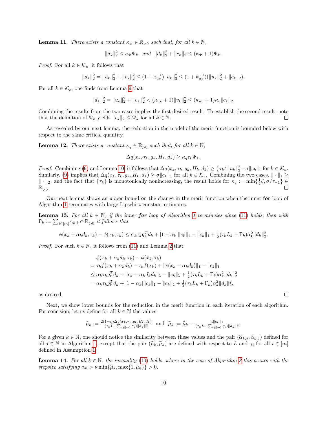**Lemma 11.** There exists a constant  $\kappa_{\Psi} \in \mathbb{R}_{>0}$  such that, for all  $k \in \mathbb{N}$ ,

 $||d_k||_2^2 \leq \kappa_{\Psi} \Psi_k$  and  $||d_k||_2^2 + ||c_k||_2 \leq (\kappa_{\Psi} + 1)\Psi_k$ .

*Proof.* For all  $k \in \mathcal{K}_u$ , it follows that

 $||d_k||_2^2 = ||u_k||_2^2 + ||v_k||_2^2 \leq (1 + \kappa_{uv}^{-1}) ||u_k||_2^2 \leq (1 + \kappa_{uv}^{-1}) (||u_k||_2^2 + ||c_k||_2).$ 

For all  $k \in \mathcal{K}_v$ , one finds from Lemma [9](#page-8-2) that

$$
||d_k||_2^2 = ||u_k||_2^2 + ||v_k||_2^2 < (\kappa_{uv} + 1)||v_k||_2^2 \leq (\kappa_{uv} + 1)\kappa_v ||c_k||_2.
$$

Combining the results from the two cases implies the first desired result. To establish the second result, note that the definition of  $\Psi_k$  yields  $||c_k||_2 \leq \Psi_k$  for all  $k \in \mathbb{N}$ .  $\Box$ 

As revealed by our next lemma, the reduction in the model of the merit function is bounded below with respect to the same critical quantity.

<span id="page-9-2"></span>**Lemma 12.** There exists a constant  $\kappa_q \in \mathbb{R}_{>0}$  such that, for all  $k \in \mathbb{N}$ ,

$$
\Delta q(x_k, \tau_k, g_k, H_k, d_k) \ge \kappa_q \tau_k \Psi_k.
$$

*Proof.* Combining [\(9\)](#page-5-6) and Lemma [10,](#page-8-1) it follows that  $\Delta q(x_k, \tau_k, g_k, H_k, d_k) \geq \frac{1}{4} \tau_k \zeta \|u_k\|_2^2 + \sigma \|c_k\|_1$  for  $k \in \mathcal{K}_u$ . Similarly, [\(9\)](#page-5-6) implies that  $\Delta q(x_k, \tau_k, g_k, H_k, d_k) \ge \sigma ||c_k||_1$  for all  $k \in \mathcal{K}_v$ . Combining the two cases,  $|| \cdot ||_1 \ge$  $\|\cdot\|_2$ , and the fact that  $\{\tau_k\}$  is monotonically nonincreasing, the result holds for  $\kappa_q := \min\{\frac{1}{4}\zeta, \sigma/\tau_{-1}\}\in$  $\mathbb{R}_{>0}$  .

Our next lemma shows an upper bound on the change in the merit function when the inner for loop of Algorithm [1](#page-7-0) terminates with large Lipschitz constant estimates.

<span id="page-9-0"></span>**Lemma [1](#page-7-0)3.** For all  $k \in \mathbb{N}$ , if the inner **for** loop of Algorithm 1 terminates since [\(11\)](#page-5-2) holds, then with  $\Gamma_k := \sum_{i \in [m]} \gamma_{k,i} \in \mathbb{R}_{>0}$  it follows that

$$
\phi(x_k + \alpha_k d_k, \tau_k) - \phi(x_k, \tau_k) \leq \alpha_k \tau_k g_k^T d_k + |1 - \alpha_k| \|c_k\|_1 - \|c_k\|_1 + \frac{1}{2} (\tau_k L_k + \Gamma_k) \alpha_k^2 \|d_k\|_2^2.
$$

*Proof.* For such  $k \in \mathbb{N}$ , it follows from [\(11\)](#page-5-2) and Lemma [2](#page-3-4) that

$$
\phi(x_k + \alpha_k d_k, \tau_k) - \phi(x_k, \tau_k)
$$
  
=  $\tau_k f(x_k + \alpha_k d_k) - \tau_k f(x_k) + ||c(x_k + \alpha_k d_k)||_1 - ||c_k||_1$   
 $\leq \alpha_k \tau_k g_k^T d_k + ||c_k + \alpha_k J_k d_k||_1 - ||c_k||_1 + \frac{1}{2} (\tau_k L_k + \Gamma_k) \alpha_k^2 ||d_k||_2^2$   
=  $\alpha_k \tau_k g_k^T d_k + |1 - \alpha_k||c_k||_1 - ||c_k||_1 + \frac{1}{2} (\tau_k L_k + \Gamma_k) \alpha_k^2 ||d_k||_2^2$ ,

as desired.

Next, we show lower bounds for the reduction in the merit function in each iteration of each algorithm. For concision, let us define for all  $k \in \mathbb{N}$  the values

$$
\widehat{\mu}_k := \frac{2(1-\eta)\Delta q(x_k, \tau_k, g_k, H_k, d_k)}{(\tau_k L + \sum_{i \in [m]} \gamma_i) \|d_k\|_2^2} \text{ and } \widetilde{\mu}_k := \widehat{\mu}_k - \frac{4\|c_k\|_1}{(\tau_k L + \sum_{i \in [m]} \gamma_i) \|d_k\|_2^2}.
$$

For a given  $k \in \mathbb{N}$ , one should notice the similarity between these values and the pair  $(\hat{\alpha}_{k,j}, \tilde{\alpha}_{k,j})$  defined for all  $j \in \mathbb{N}$  in Algorithm [1,](#page-7-0) except that the pair  $(\widehat{\mu}_k, \widetilde{\mu}_k)$  are defined with respect to L and  $\gamma_i$  for all  $i \in [m]$ defined in Assumption [1.](#page-3-2)

<span id="page-9-1"></span>**Lemma 14.** For all  $k \in \mathbb{N}$ , the inequality [\(10\)](#page-5-3) holds, where in the case of Algorithm [2](#page-8-0) this occurs with the stepsize satisfying  $\alpha_k > \nu \min\{\widehat{\mu}_k, \max\{1, \widetilde{\mu}_k\}\} > 0.$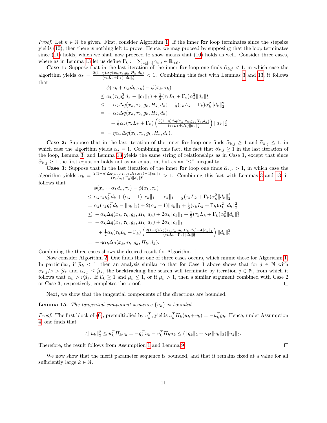*Proof.* Let  $k \in \mathbb{N}$  be given. First, consider Algorithm [1.](#page-7-0) If the inner for loop terminates since the stepsize yields [\(10\)](#page-5-3), then there is nothing left to prove. Hence, we may proceed by supposing that the loop terminates since [\(11\)](#page-5-2) holds, which we shall now proceed to show means that [\(10\)](#page-5-3) holds as well. Consider three cases, where as in Lemma [13](#page-9-0) let us define  $\Gamma_k := \sum_{i \in [m]} \gamma_{k,i} \in \mathbb{R}_{>0}$ .

**Case 1:** Suppose that in the last iteration of the inner for loop one finds  $\hat{\alpha}_{k,j} < 1$ , in which case the algorithm yields  $\alpha_k = \frac{2(1-\eta)\Delta q(x_k,\tau_k,g_k,H_k,d_k)}{(\tau_L,L_L+\Gamma_L)||d_L||^2}$  $\frac{\eta}{2}(\tau_k L_k + \Gamma_k) \|d_k\|_2^2$  < 1. Combining this fact with Lemmas [3](#page-4-4) and [13,](#page-9-0) it follows that

$$
\phi(x_k + \alpha_k d_k, \tau_k) - \phi(x_k, \tau_k) \n\leq \alpha_k (\tau_k g_k^T d_k - \|c_k\|_1) + \frac{1}{2} (\tau_k L_k + \Gamma_k) \alpha_k^2 \|d_k\|_2^2 \n\leq -\alpha_k \Delta q(x_k, \tau_k, g_k, H_k, d_k) + \frac{1}{2} (\tau_k L_k + \Gamma_k) \alpha_k^2 \|d_k\|_2^2 \n= -\alpha_k \Delta q(x_k, \tau_k, g_k, H_k, d_k) \n+ \frac{1}{2} \alpha_k (\tau_k L_k + \Gamma_k) \left( \frac{2(1-\eta) \Delta q(x_k, \tau_k, g_k, H_k, d_k)}{(\tau_k L_k + \Gamma_k) \|d_k\|_2^2} \right) \|d_k\|_2^2 \n= -\eta \alpha_k \Delta q(x_k, \tau_k, g_k, H_k, d_k).
$$

**Case 2:** Suppose that in the last iteration of the inner for loop one finds  $\hat{\alpha}_{k,j} \geq 1$  and  $\tilde{\alpha}_{k,j} \leq 1$ , in which case the algorithm yields  $\alpha_k = 1$ . Combining this fact, the fact that  $\hat{\alpha}_{k,j} \geq 1$  in the last iteration of the loop, Lemma [3,](#page-4-4) and Lemma [13](#page-9-0) yields the same string of relationships as in Case 1, except that since  $\hat{\alpha}_{k,j} \geq 1$  the first equation holds not as an equation, but as an " $\leq$ " inequality.

**Case 3:** Suppose that in the last iteration of the inner **for** loop one finds  $\tilde{\alpha}_{k,j} > 1$ , in which case the algorithm yields  $\alpha_k = \frac{2(1-\eta)\Delta q(x_k,\tau_k,g_k,H_k,d_k)-4||c_k||_1}{(\tau_kL_k+\Gamma_k)||d_k||_2^2} > 1$ . Combining this fact with Lemmas  $\frac{I(x_k, \tau_k, g_k, H_k, a_k) - 4||c_k||_1}{(\tau_k L_k + \Gamma_k) ||d_k||_2^2} > 1$ . Combining this fact with Lemmas [3](#page-4-4) and [13,](#page-9-0) it follows that

$$
\phi(x_k + \alpha_k d_k, \tau_k) - \phi(x_k, \tau_k)
$$
\n
$$
\leq \alpha_k \tau_k g_k^T d_k + (\alpha_k - 1) ||c_k||_1 - ||c_k||_1 + \frac{1}{2} (\tau_k L_k + \Gamma_k) \alpha_k^2 ||d_k||_2^2
$$
\n
$$
= \alpha_k (\tau_k g_k^T d_k - ||c_k||_1) + 2(\alpha_k - 1) ||c_k||_1 + \frac{1}{2} (\tau_k L_k + \Gamma_k) \alpha_k^2 ||d_k||_2^2
$$
\n
$$
\leq -\alpha_k \Delta q(x_k, \tau_k, g_k, H_k, d_k) + 2\alpha_k ||c_k||_1 + \frac{1}{2} (\tau_k L_k + \Gamma_k) \alpha_k^2 ||d_k||_2^2
$$
\n
$$
= -\alpha_k \Delta q(x_k, \tau_k, g_k, H_k, d_k) + 2\alpha_k ||c_k||_1
$$
\n
$$
+ \frac{1}{2} \alpha_k (\tau_k L_k + \Gamma_k) \left( \frac{2(1 - \eta) \Delta q(x_k, \tau_k, g_k, H_k, d_k) - 4 ||c_k||_1}{(\tau_k L_k + \Gamma_k) ||d_k||_2^2} \right) ||d_k||_2^2
$$
\n
$$
= -\eta \alpha_k \Delta q(x_k, \tau_k, g_k, H_k, d_k).
$$

Combining the three cases shows the desired result for Algorithm [1.](#page-7-0)

Now consider Algorithm [2.](#page-8-0) One finds that one of three cases occurs, which mimic those for Algorithm [1.](#page-7-0) In particular, if  $\hat{\mu}_k < 1$ , then an analysis similar to that for Case 1 above shows that for  $j \in \mathbb{N}$  with  $\alpha_{k,j}/\nu > \hat{\mu}_k$  and  $\alpha_{k,j} \leq \hat{\mu}_k$ , the backtracking line search will terminate by iteration  $j \in \mathbb{N}$ , from which it follows that  $\alpha_k > \nu \hat{\mu}_k$ . If  $\hat{\mu}_k \ge 1$  and  $\tilde{\mu}_k \le 1$ , or if  $\tilde{\mu}_k > 1$ , then a similar argument combined with Case 2 or Case 3, respectively, completes the proof. or Case 3, respectively, completes the proof.

Next, we show that the tangential components of the directions are bounded.

<span id="page-10-0"></span>**Lemma 15.** The tangential component sequence  $\{u_k\}$  is bounded.

*Proof.* The first block of [\(6\)](#page-4-3), premultiplied by  $u_k^T$ , yields  $u_k^T H_k(u_k+v_k) = -u_k^T g_k$ . Hence, under Assumption [4,](#page-4-2) one finds that

$$
\zeta \|u_k\|_2^2 \le u_k^T H_k u_k = -g_k^T u_k - v_k^T H_k u_k \le (\|g_k\|_2 + \kappa_H \|v_k\|_2) \|u_k\|_2.
$$

Therefore, the result follows from Assumption [1](#page-3-2) and Lemma [9.](#page-8-2)

<span id="page-10-1"></span>We now show that the merit parameter sequence is bounded, and that it remains fixed at a value for all sufficiently large  $k \in \mathbb{N}$ .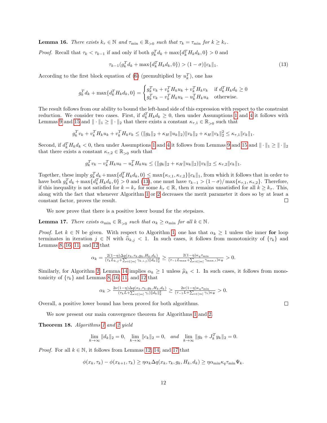**Lemma 16.** There exists  $k_{\tau} \in \mathbb{N}$  and  $\tau_{\min} \in \mathbb{R}_{>0}$  such that  $\tau_k = \tau_{\min}$  for  $k \geq k_{\tau}$ .

*Proof.* Recall that  $\tau_k < \tau_{k-1}$  if and only if both  $g_k^T d_k + \max\{d_k^T H_k d_k, 0\} > 0$  and

<span id="page-11-0"></span>
$$
\tau_{k-1}(g_k^T d_k + \max\{d_k^T H_k d_k, 0\}) > (1 - \sigma) \|c_k\|_1. \tag{13}
$$

According to the first block equation of [\(6\)](#page-4-3) (premultiplied by  $u_k^T$ ), one has

$$
g_k^T d_k + \max\{d_k^T H_k d_k, 0\} = \begin{cases} g_k^T v_k + v_k^T H_k u_k + v_k^T H_k v_k & \text{if } d_k^T H_k d_k \ge 0\\ g_k^T v_k - v_k^T H_k u_k - u_k^T H_k u_k & \text{otherwise.} \end{cases}
$$

The result follows from our ability to bound the left-hand side of this expression with respect to the constraint reduction. We consider two cases. First, if  $d_k^T H_k d_k \geq 0$ , then under Assumptions [1](#page-3-2) and [4](#page-4-2) it follows with Lemmas [9](#page-8-2) and [15](#page-10-0) and  $\|\cdot\|_1 \ge \|\cdot\|_2$  that there exists a constant  $\kappa_{\tau,1} \in \mathbb{R}_{>0}$  such that

$$
g_k^T v_k + v_k^T H_k u_k + v_k^T H_k v_k \le (\|g_k\|_2 + \kappa_H \|u_k\|_2) \|v_k\|_2 + \kappa_H \|v_k\|_2^2 \le \kappa_{\tau,1} \|c_k\|_1.
$$

Second, if  $d_k^TH_kd_k < 0$ , then under Assumptions [1](#page-3-2) and [4](#page-4-2) it follows from Lemmas [9](#page-8-2) and [15](#page-10-0) and  $\|\cdot\|_1 \ge \|\cdot\|_2$ that there exists a constant  $\kappa_{\tau,2} \in \mathbb{R}_{>0}$  such that

$$
g_k^T v_k - v_k^T H_k u_k - u_k^T H_k u_k \leq (||g_k||_2 + \kappa_H ||u_k||_2) ||v_k||_2 \leq \kappa_{\tau,2} ||c_k||_1.
$$

Together, these imply  $g_k^T \underline{d}_k + \max\{d_k^T H_k d_k, 0\} \leq \max\{\kappa_{\tau,1}, \kappa_{\tau,2}\}\|c_k\|_1$ , from which it follows that in order to have both  $g_k^T d_k + \max\{d_k^T H_k d_k, 0\} > 0$  and [\(13\)](#page-11-0), one must have  $\tau_{k-1} > (1 - \sigma) / \max\{\kappa_{\tau,1}, \kappa_{\tau,2}\}.$  Therefore, if this inequality is not satisfied for  $k = k_{\tau}$  for some  $k_{\tau} \in \mathbb{R}$ , then it remains unsatisfied for all  $k \geq k_{\tau}$ . This, along with the fact that whenever Algorithm [1](#page-7-0) or [2](#page-8-0) decreases the merit parameter it does so by at least a constant factor, proves the result.  $\Box$ 

We now prove that there is a positive lower bound for the stepsizes.

<span id="page-11-1"></span>**Lemma 17.** There exists  $\alpha_{\min} \in \mathbb{R}_{>0}$  such that  $\alpha_k \geq \alpha_{\min}$  for all  $k \in \mathbb{N}$ .

*Proof.* Let  $k \in \mathbb{N}$  be given. With respect to Algorithm [1,](#page-7-0) one has that  $\alpha_k \geq 1$  unless the inner for loop terminates in iteration  $j \in \mathbb{N}$  with  $\hat{\alpha}_{k,j} < 1$ . In such cases, it follows from monotonicity of  $\{\tau_k\}$  and Lemmas [8,](#page-6-3) [16,](#page-10-1) [11,](#page-8-3) and [12](#page-9-2) that

$$
\alpha_k = \frac{2(1-\eta)\Delta q(x_k, \tau_k, g_k, H_k, d_k)}{(\tau_k L_{k,j} + \sum_{i \in [m]} \gamma_{k,i,j}) \|d_k\|_2^2} \ge \frac{2(1-\eta)\kappa_q \tau_{\min}}{(\tau_{-1} L_{\max} + \sum_{i \in [m]} \gamma_{\max,i}) \kappa_\Psi} > 0.
$$

Similarly, for Algorithm [2,](#page-8-0) Lemma [14](#page-9-1) implies  $\alpha_k \geq 1$  unless  $\hat{\mu}_k < 1$ . In such cases, it follows from monotonicity of  $\{\tau_k\}$  and Lemmas [8,](#page-6-3) [16,](#page-10-1) [11,](#page-8-3) and [12](#page-9-2) that

$$
\alpha_k > \tfrac{2\nu(1-\eta)\Delta q(x_k,\tau_k,g_k,H_k,d_k)}{(\tau_kL+\sum_{i\in[m]}\gamma_i)\|d_k\|_2^2} \geq \tfrac{2\nu(1-\eta)\kappa_q\tau_{\min}}{(\tau-1L+\sum_{i\in[m]}\gamma_i)\kappa_\Psi} > 0.
$$

Overall, a positive lower bound has been proved for both algorithms.

We now present our main convergence theorem for Algorithms [1](#page-7-0) and [2.](#page-8-0)

Theorem 18. Algorithms [1](#page-7-0) and [2](#page-8-0) yield

$$
\lim_{k \to \infty} ||d_k||_2 = 0, \quad \lim_{k \to \infty} ||c_k||_2 = 0, \quad \text{and} \quad \lim_{k \to \infty} ||g_k + J_k^T y_k||_2 = 0.
$$

*Proof.* For all  $k \in \mathbb{N}$ , it follows from Lemmas [12,](#page-9-2) [14,](#page-9-1) and [17](#page-11-1) that

$$
\phi(x_k, \tau_k) - \phi(x_{k+1}, \tau_k) \geq \eta \alpha_k \Delta q(x_k, \tau_k, g_k, H_k, d_k) \geq \eta \alpha_{\min} \kappa_q \tau_{\min} \Psi_k.
$$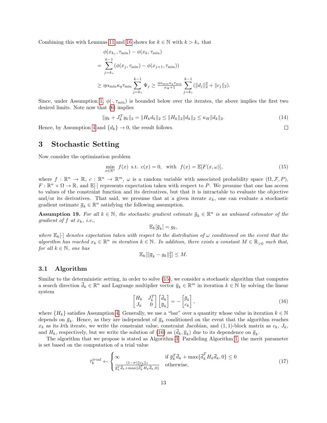Combining this with Lemmas [11](#page-8-3) and [16](#page-10-1) shows for  $k \in \mathbb{N}$  with  $k > k<sub>\tau</sub>$  that

$$
\phi(x_{k_{\tau}}, \tau_{\min}) - \phi(x_k, \tau_{\min})
$$
\n
$$
= \sum_{j=k_{\tau}}^{k-1} (\phi(x_j, \tau_{\min}) - \phi(x_{j+1}, \tau_{\min}))
$$
\n
$$
\geq \eta \alpha_{\min} \kappa_q \tau_{\min} \sum_{j=k_{\tau}}^{k-1} \Psi_j \geq \frac{\eta \alpha_{\min} \kappa_q \tau_{\min}}{\kappa_{\Psi} + 1} \sum_{j=k_{\tau}}^{k-1} (\|d_j\|_2^2 + \|c_j\|_2).
$$

Since, under Assumption [1,](#page-3-2)  $\phi(\cdot, \tau_{\min})$  is bounded below over the iterates, the above implies the first two desired limits. Note now that [\(6\)](#page-4-3) implies

<span id="page-12-5"></span>
$$
||g_k + J_k^T y_k||_2 = ||H_k d_k||_2 \le ||H_k||_2 ||d_k||_2 \le \kappa_H ||d_k||_2.
$$
\n(14)

 $\Box$ 

Hence, by Assumption [4](#page-4-2) and  $\{d_k\} \rightarrow 0$ , the result follows.

## <span id="page-12-0"></span>3 Stochastic Setting

Now consider the optimization problem

<span id="page-12-1"></span>
$$
\min_{x \in \mathbb{R}^n} f(x) \text{ s.t. } c(x) = 0, \text{ with } f(x) = \mathbb{E}[F(x, \omega)],\tag{15}
$$

where  $f : \mathbb{R}^n \to \mathbb{R}, c : \mathbb{R}^n \to \mathbb{R}^m, \omega$  is a random variable with associated probability space  $(\Omega, \mathcal{F}, P)$ ,  $F: \mathbb{R}^n \times \Omega \to \mathbb{R}$ , and  $\mathbb{E}[\cdot]$  represents expectation taken with respect to P. We presume that one has access to values of the constraint function and its derivatives, but that it is intractable to evaluate the objective and/or its derivatives. That said, we presume that at a given iterate  $x_k$ , one can evaluate a stochastic gradient estimate  $\bar{g}_k \in \mathbb{R}^n$  satisfying the following assumption.

<span id="page-12-3"></span>**Assumption 19.** For all  $k \in \mathbb{N}$ , the stochastic gradient estimate  $\bar{g}_k \in \mathbb{R}^n$  is an unbiased estimator of the gradient of f at  $x_k$ , i.e.,

$$
\mathbb{E}_k[\overline{g}_k] = g_k,
$$

where  $\mathbb{E}_k[\cdot]$  denotes expectation taken with respect to the distribution of  $\omega$  conditioned on the event that the algorithm has reached  $x_k \in \mathbb{R}^n$  in iteration  $k \in \mathbb{N}$ . In addition, there exists a constant  $M \in \mathbb{R}_{>0}$  such that, for all  $k \in \mathbb{N}$ , one has

$$
\mathbb{E}_k[\|\overline{g}_k - g_k\|_2^2] \leq M.
$$

## 3.1 Algorithm

Similar to the deterministic setting, in order to solve [\(15\)](#page-12-1), we consider a stochastic algorithm that computes a search direction  $\bar{d}_k \in \mathbb{R}^n$  and Lagrange multiplier vector  $\bar{y}_k \in \mathbb{R}^m$  in iteration  $k \in \mathbb{N}$  by solving the linear system

<span id="page-12-2"></span>
$$
\begin{bmatrix} H_k & J_k^T \\ J_k & 0 \end{bmatrix} \begin{bmatrix} \bar{d}_k \\ \bar{y}_k \end{bmatrix} = - \begin{bmatrix} \bar{g}_k \\ c_k \end{bmatrix},
$$
\n(16)

where  $\{H_k\}$  satisfies Assumption [4.](#page-4-2) Generally, we use a "bar" over a quantity whose value in iteration  $k \in \mathbb{N}$ depends on  $\bar{g}_k$ . Hence, as they are independent of  $\bar{g}_k$  conditioned on the event that the algorithm reaches  $x_k$  as its kth iterate, we write the constraint value, constraint Jacobian, and  $(1,1)$ -block matrix as  $c_k$ ,  $J_k$ , and  $H_k$ , respectively, but we write the solution of [\(16\)](#page-12-2) as  $(d_k, \bar{y}_k)$  due to its dependence on  $\bar{g}_k$ .

The algorithm that we propose is stated as Algorithm [3.](#page-14-0) Paralleling Algorithm [1,](#page-7-0) the merit parameter is set based on the computation of a trial value

<span id="page-12-4"></span>
$$
\bar{\tau}_k^{trial} \leftarrow \begin{cases} \infty & \text{if } \bar{g}_k^T \bar{d}_k + \max\{\bar{d}_k^T H_k \bar{d}_k, 0\} \le 0\\ \frac{(1-\sigma)\|c_k\|_1}{\bar{g}_k^T \bar{d}_k + \max\{\bar{d}_k^T H_k \bar{d}_k, 0\}} & \text{otherwise,} \end{cases}
$$
(17)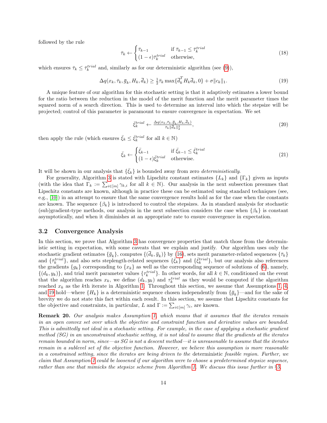followed by the rule

<span id="page-13-0"></span>
$$
\bar{\tau}_k \leftarrow \begin{cases} \bar{\tau}_{k-1} & \text{if } \bar{\tau}_{k-1} \le \bar{\tau}_k^{trial} \\ (1 - \epsilon)\bar{\tau}_k^{trial} & \text{otherwise,} \end{cases} \tag{18}
$$

which ensures  $\bar{\tau}_k \leq \bar{\tau}_k^{trial}$  and, similarly as for our deterministic algorithm (see [\(9\)](#page-5-6)),

$$
\Delta q(x_k, \bar{\tau}_k, \bar{g}_k, H_k, \bar{d}_k) \ge \frac{1}{2} \bar{\tau}_k \max\{\bar{d}_k^T H_k \bar{d}_k, 0\} + \sigma \|c_k\|_1. \tag{19}
$$

A unique feature of our algorithm for this stochastic setting is that it adaptively estimates a lower bound for the ratio between the reduction in the model of the merit function and the merit parameter times the squared norm of a search direction. This is used to determine an interval into which the stepsize will be projected; control of this parameter is paramount to ensure convergence in expectation. We set

<span id="page-13-1"></span>
$$
\bar{\xi}_k^{trial} \leftarrow \frac{\Delta q(x_k, \bar{\tau}_k, \bar{g}_k, H_k, \bar{d}_k)}{\bar{\tau}_k \|\bar{d}_k\|_2^2},\tag{20}
$$

then apply the rule (which ensures  $\bar{\xi}_k \leq \bar{\xi}_k^{trial}$  for all  $k \in \mathbb{N}$ )

<span id="page-13-2"></span>
$$
\bar{\xi}_k \leftarrow \begin{cases} \bar{\xi}_{k-1} & \text{if } \bar{\xi}_{k-1} \le \bar{\xi}_k^{trial} \\ (1-\epsilon)\bar{\xi}_k^{trial} & \text{otherwise.} \end{cases} \tag{21}
$$

It will be shown in our analysis that  $\{\bar{\xi}_k\}$  is bounded away from zero *deterministically*.

For generality, Algorithm [3](#page-14-0) is stated with Lipschitz constant estimates  $\{L_k\}$  and  $\{\Gamma_k\}$  given as inputs (with the idea that  $\Gamma_k := \sum_{i \in [m]} \gamma_{k,i}$  for all  $k \in \mathbb{N}$ ). Our analysis in the next subsection presumes that Lipschitz constants are known, although in practice these can be estimated using standard techniques (see, e.g., [\[10\]](#page-28-16)) in an attempt to ensure that the same convergence results hold as for the case when the constants are known. The sequence  $\{\beta_k\}$  is introduced to control the stepsizes. As in standard analysis for stochastic (sub)gradient-type methods, our analysis in the next subsection considers the case when  $\{\beta_k\}$  is constant asymptotically, and when it diminishes at an appropriate rate to ensure convergence in expectation.

## 3.2 Convergence Analysis

In this section, we prove that Algorithm [3](#page-14-0) has convergence properties that match those from the deterministic setting in expectation, with some caveats that we explain and justify. Our algorithm uses only the stochastic gradient estimates  $\{\bar{g}_k\}$ , computes  $\{(\bar{d}_k, \bar{y}_k)\}$  by [\(16\)](#page-12-2), sets merit parameter-related sequences  $\{\bar{\tau}_k\}$ and  $\{\bar{\tau}_k^{trial}\}$ , and also sets steplength-related sequences  $\{\bar{\xi}_k\}$  and  $\{\bar{\xi}_k^{trial}\}$ , but our analysis also references the gradients  ${g_k}$  corresponding to  ${x_k}$  as well as the corresponding sequence of solutions of [\(6\)](#page-4-3), namely,  $\{(d_k, y_k)\}\$ , and trial merit parameter values  $\{\tau_k^{trial}\}\$ . In other words, for all  $k \in \mathbb{N}$ , conditioned on the event that the algorithm reaches  $x_k$ , we define  $(d_k, y_k)$  and  $\tau_k^{trial}$  as they would be computed if the algorithm reached  $x_k$  as the kth iterate in Algorithm [1.](#page-7-0) Throughout this section, we assume that Assumptions [1,](#page-3-2) [4,](#page-4-2) and [19](#page-12-3) hold—where  $\{H_k\}$  is a deterministic sequence chosen independently from  $\{\bar{g}_k\}$ —and for the sake of brevity we do not state this fact within each result. In this section, we assume that Lipschitz constants for the objective and constraints, in particular, L and  $\Gamma := \sum_{i \in [m]} \gamma_i$ , are known.

Remark 20. Our analysis makes Assumption [1,](#page-3-2) which means that it assumes that the iterates remain in an open convex set over which the objective and constraint function and derivative values are bounded. This is admittedly not ideal in a stochastic setting. For example, in the case of applying a stochastic gradient method  $(SG)$  in an unconstrained stochastic setting, it is not ideal to assume that the gradients at the iterates remain bounded in norm, since—as  $SG$  is not a descent method—it is unreasonable to assume that the iterates remain in a sublevel set of the objective function. However, we believe this assumption is more reasonable in a constrained setting, since the iterates are being driven to the deterministic feasible region. Further, we claim that Assumption [1](#page-3-2) could be loosened if our algorithm were to choose a predetermined stepsize sequence, rather than one that mimicks the stepsize scheme from Algorithm [1.](#page-7-0) We discuss this issue further in  $\S5$ .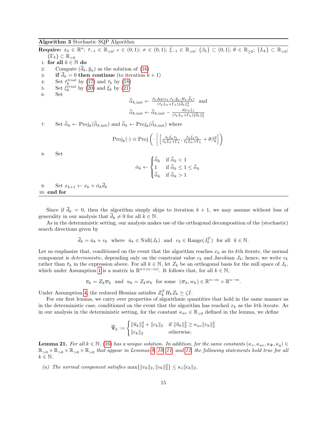<span id="page-14-0"></span> $\textbf{Required: } x_0 \in \mathbb{R}^n; \; \bar{\tau}_{-1} \in \mathbb{R}_{>0}; \; \epsilon \in (0,1); \; \sigma \in (0,1); \; \bar{\xi}_{-1} \in \mathbb{R}_{>0}; \; \{\beta_k\} \subset (0,1]; \; \theta \in \mathbb{R}_{\geq 0}; \; \{L_k\} \subset \mathbb{R}_{>0};$  $\{\Gamma_k\} \subset \mathbb{R}_{>0}$ 1: for all  $k \in \mathbb{N}$  do 2: Compute  $(d_k, \bar{y}_k)$  as the solution of [\(16\)](#page-12-2) 3: if  $\bar{d}_k = 0$  then continue (to iteration  $k + 1$ ) 4: Set  $\bar{\tau}_k^{trial}$  by [\(17\)](#page-12-4) and  $\bar{\tau}_k$  by [\(18\)](#page-13-0) 5: Set  $\vec{\xi}_k^{trial}$  by [\(20\)](#page-13-1) and  $\bar{\xi}_k$  by [\(21\)](#page-13-2)  $6:$  $\bar{\hat{\alpha}}_{k,\text{init}} \leftarrow \frac{\beta_k \Delta q(x_k, \bar{\tau}_k, \bar{g}_k, H_k, \bar{d}_k)}{(\bar{\tau}_k L_k + \Gamma_k) \|\bar{d}_k\|_2^2}$  and  $\bar{\tilde{\alpha}}_{k,\text{init}} \leftarrow \bar{\hat{\alpha}}_{k,\text{init}} - \frac{4||c_k||_1}{(\bar{\tau}_k L_k + \Gamma_k)}$  $(\bar{\tau}_k L_k + \Gamma_k) \|\bar{d}_k\|_2^2$ 7: Set  $\bar{\hat{\alpha}}_k \leftarrow \text{Proj}_k(\bar{\hat{\alpha}}_{k,\text{init}})$  and  $\bar{\hat{\alpha}}_k \leftarrow \text{Proj}_k(\bar{\hat{\alpha}}_{k,\text{init}})$  where  $\text{Proj}_k(\cdot) \equiv \text{Proj}\left(\cdot \mid \right)$  $\left[\frac{\beta_k\bar{\xi}_k\bar{\tau}_k}{\bar{\tau}_kL_k+\Gamma_k}, \frac{\beta_k\bar{\xi}_k\bar{\tau}_k}{\bar{\tau}_kL_k+\Gamma_k}+\theta\beta_k^2\right]$ 8: Set  $\bar{\alpha}_k \leftarrow$  $\sqrt{ }$  $\int$  $\overline{\mathcal{L}}$  $\bar{\hat{\alpha}}_k$  if  $\bar{\hat{\alpha}}_k < 1$ 1 if  $\bar{\tilde{\alpha}}_k \leq 1 \leq \bar{\hat{\alpha}}_k$ <br> $\bar{\tilde{\alpha}}_k \leq 1$  $\bar{\tilde{\alpha}}_k$  if  $\bar{\tilde{\alpha}}_k > 1$ 9: Set  $x_{k+1} \leftarrow x_k + \bar{\alpha}_k \bar{d}_k$ 10: end for

Since if  $\bar{d}_k = 0$ , then the algorithm simply skips to iteration  $k + 1$ , we may assume without loss of generality in our analysis that  $\bar{d}_k \neq 0$  for all  $k \in \mathbb{N}$ .

As in the deterministic setting, our analysis makes use of the orthogonal decomposition of the (stochastic) search directions given by

$$
\overline{d}_k = \overline{u}_k + v_k \quad \text{where} \quad \overline{u}_k \in \text{Null}(J_k) \quad \text{and} \quad v_k \in \text{Range}(J_k^T) \quad \text{for all} \quad k \in \mathbb{N}.
$$

Let us emphasize that, conditioned on the event that the algorithm reaches  $x_k$  as its kth iterate, the normal component is *deterministic*, depending only on the constraint value  $c_k$  and Jacobian  $J_k$ ; hence, we write  $v_k$ rather than  $\bar{v}_k$  in the expression above. For all  $k \in \mathbb{N}$ , let  $Z_k$  be an orthogonal basis for the null space of  $J_k$ , which under Assumption [1](#page-3-2) is a matrix in  $\mathbb{R}^{n \times (n-m)}$ . It follows that, for all  $k \in \mathbb{N}$ ,

$$
\overline{u}_k = Z_k \overline{w}_k
$$
 and  $u_k = Z_k w_k$  for some  $(\overline{w}_k, w_k) \in \mathbb{R}^{n-m} \times \mathbb{R}^{n-m}$ .

Under Assumption [4,](#page-4-2) the reduced Hessian satisfies  $Z_k^T H_k Z_k \succeq \zeta I$ .

For our first lemma, we carry over properties of algorithmic quantities that hold in the same manner as in the deterministic case, conditioned on the event that the algorithm has reached  $x_k$  as the kth iterate. As in our analysis in the deterministic setting, for the constant  $\kappa_{uv} \in \mathbb{R}_{>0}$  defined in the lemma, we define

$$
\overline{\Psi}_k := \begin{cases}\n\|\overline{u}_k\|_2^2 + \|c_k\|_2 & \text{if } \|\overline{u}_k\|_2^2 \ge \kappa_{uv} \|v_k\|_2^2 \\
\|c_k\|_2 & \text{otherwise.} \n\end{cases}
$$

<span id="page-14-1"></span>**Lemma 21.** For all  $k \in \mathbb{N}$ , [\(16\)](#page-12-2) has a unique solution. In addition, for the same constants  $(\kappa_v, \kappa_{uv}, \kappa_{\Psi}, \kappa_q) \in$  $\mathbb{R}_{>0}\times\mathbb{R}_{>0}\times\mathbb{R}_{>0}\times\mathbb{R}_{>0}$  that appear in Lemmas [9,](#page-8-2) [10,](#page-8-1) [11,](#page-8-3) and [12,](#page-9-2) the following statements hold true for all  $k \in \mathbb{N}$ .

(a) The normal component satisfies  $\max\{\Vert v_k \Vert_2, \Vert v_k \Vert_2^2\} \leq \kappa_v \Vert c_k \Vert_2$ .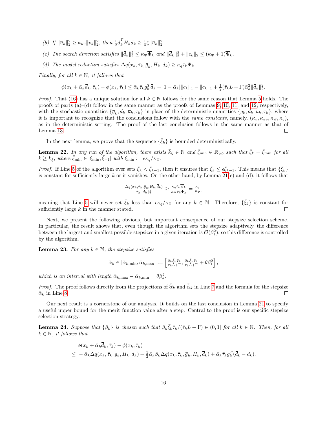- (b) If  $\|\bar{u}_k\|_2^2 \ge \kappa_{uv} \|v_k\|_2^2$ , then  $\frac{1}{2} \bar{d}_k^T H_k \bar{d}_k \ge \frac{1}{4} \zeta \|\bar{u}_k\|_2^2$ .
- (c) The search direction satisfies  $\|\bar{d}_k\|_2^2 \leq \kappa_{\Psi} \bar{\Psi}_k$  and  $\|\bar{d}_k\|_2^2 + \|c_k\|_2 \leq (\kappa_{\Psi} + 1)\bar{\Psi}_k$ .
- (d) The model reduction satisfies  $\Delta q(x_k, \bar{\tau}_k, \bar{g}_k, H_k, \bar{d}_k) \geq \kappa_q \bar{\tau}_k \overline{\Psi}_k$ .

Finally, for all  $k \in \mathbb{N}$ , it follows that

 $\phi(x_k + \bar{\alpha}_k \bar{d}_k, \bar{\tau}_k) - \phi(x_k, \bar{\tau}_k) \leq \bar{\alpha}_k \bar{\tau}_k g_k^T \bar{d}_k + |1 - \bar{\alpha}_k| \|c_k\|_1 - \|c_k\|_1 + \frac{1}{2} (\bar{\tau}_k L + \Gamma) \bar{\alpha}_k^2 \|\bar{d}_k\|_2^2.$ 

*Proof.* That [\(16\)](#page-12-2) has a unique solution for all  $k \in \mathbb{N}$  follows for the same reason that Lemma [5](#page-5-7) holds. The proofs of parts  $(a)$ –(d) follow in the same manner as the proofs of Lemmas [9,](#page-8-2) [10,](#page-8-1) [11,](#page-8-3) and [12,](#page-9-2) respectively, with the stochastic quantities  $\{\bar{g}_k, \bar{d}_k, \bar{u}_k, \bar{\tau}_k\}$  in place of the deterministic quantities  $\{g_k, d_k, u_k, \tau_k\}$ , where it is important to recognize that the conclusions follow with the same constants, namely,  $(\kappa_v, \kappa_{uv}, \kappa_{\Psi}, \kappa_q)$ , as in the deterministic setting. The proof of the last conclusion follows in the same manner as that of Lemma [13.](#page-9-0)  $\Box$ 

In the next lemma, we prove that the sequence  $\{\bar{\xi}_k\}$  is bounded deterministically.

<span id="page-15-0"></span>**Lemma 22.** In any run of the algorithm, there exists  $\bar{k}_{\xi} \in \mathbb{N}$  and  $\bar{\xi}_{\min} \in \mathbb{R}_{>0}$  such that  $\bar{\xi}_k = \bar{\xi}_{\min}$  for all  $k \geq \bar{k}_{\xi}$ , where  $\bar{\xi}_{\min} \in [\xi_{\min}, \bar{\xi}_{-1}]$  with  $\xi_{\min} := \epsilon \kappa_q / \kappa_{\Psi}$ .

*Proof.* If Line [5](#page-14-0) of the algorithm ever sets  $\bar{\xi}_k < \bar{\xi}_{k-1}$ , then it ensures that  $\bar{\xi}_k \leq \epsilon \bar{\xi}_{k-1}$ . This means that  $\{\bar{\xi}_k\}$ is constant for sufficiently large k or it vanishes. On the other hand, by Lemma  $21(c)$  and (d), it follows that

$$
\tfrac{\Delta q(x_k,\bar\tau_k,\bar g_k,H_k,\bar d_k)}{\bar\tau_k\|\bar d_k\|_2^2}\geq \tfrac{\kappa_q\bar\tau_k\overline\Psi_k}{\kappa_\Psi\bar\tau_k\overline\Psi_k}=\tfrac{\kappa_q}{\kappa_\Psi},
$$

meaning that Line [5](#page-14-0) will never set  $\bar{\xi}_k$  less than  $\epsilon \kappa_q/\kappa_\Psi$  for any  $k \in \mathbb{N}$ . Therefore,  $\{\bar{\xi}_k\}$  is constant for sufficiently large  $k$  in the manner stated.  $\Box$ 

Next, we present the following obvious, but important consequence of our stepsize selection scheme. In particular, the result shows that, even though the algorithm sets the stepsize adaptively, the difference between the largest and smallest possible stepsizes in a given iteration is  $\mathcal{O}(\beta_k^2)$ , so this difference is controlled by the algorithm.

<span id="page-15-2"></span>**Lemma 23.** For any  $k \in \mathbb{N}$ , the stepsize satisfies

$$
\bar{\alpha}_k \in [\bar{\alpha}_{k,\min}, \bar{\alpha}_{k,\max}] := \left[\frac{\beta_k \bar{\xi}_k \bar{\tau}_k}{\bar{\tau}_k L + \Gamma}, \frac{\beta_k \bar{\xi}_k \bar{\tau}_k}{\bar{\tau}_k L + \Gamma} + \theta \beta_k^2\right],
$$

which is an interval with length  $\bar{\alpha}_{k,\max} - \bar{\alpha}_{k,\min} = \theta \beta_k^2$ .

*Proof.* The proof follows directly from the projections of  $\overline{\hat{\alpha}}_k$  and  $\overline{\tilde{\alpha}}_k$  in Line [7](#page-14-0) and the formula for the stepsize  $\overline{\alpha}_k$  in Line 8.  $\bar{\alpha}_k$  in Line [8.](#page-14-0)

Our next result is a cornerstone of our analysis. It builds on the last conclusion in Lemma [21](#page-14-1) to specify a useful upper bound for the merit function value after a step. Central to the proof is our specific stepsize selection strategy.

<span id="page-15-1"></span>**Lemma 24.** Suppose that  $\{\beta_k\}$  is chosen such that  $\beta_k \bar{\zeta}_k \bar{\tau}_k / (\bar{\tau}_k L + \Gamma) \in (0,1]$  for all  $k \in \mathbb{N}$ . Then, for all  $k \in \mathbb{N}$ , it follows that

$$
\phi(x_k + \bar{\alpha}_k \bar{d}_k, \bar{\tau}_k) - \phi(x_k, \bar{\tau}_k)
$$
\n
$$
\leq -\bar{\alpha}_k \Delta q(x_k, \bar{\tau}_k, g_k, H_k, d_k) + \frac{1}{2} \bar{\alpha}_k \beta_k \Delta q(x_k, \bar{\tau}_k, \bar{g}_k, H_k, \bar{d}_k) + \bar{\alpha}_k \bar{\tau}_k g_k^T (\bar{d}_k - d_k).
$$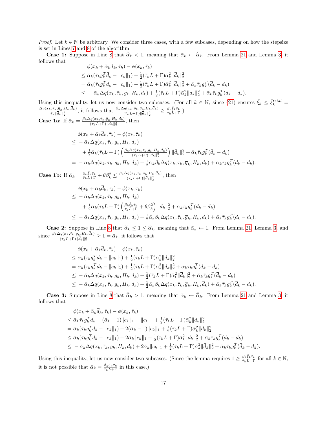*Proof.* Let  $k \in \mathbb{N}$  be arbitrary. We consider three cases, with a few subcases, depending on how the stepsize is set in Lines [7](#page-14-0) and [8](#page-14-0) of the algorithm.

**Case 1:** Suppose in Line [8](#page-14-0) that  $\bar{\alpha}_k < 1$ , meaning that  $\bar{\alpha}_k \leftarrow \bar{\hat{\alpha}}_k$ . From Lemma [21](#page-14-1) and Lemma [3,](#page-4-4) it follows that  $\phi(x_k + \bar{\alpha}_k \bar{d}_k, \bar{\tau}_k) - \phi(x_k, \bar{\tau}_k)$ 

$$
\varphi(x_k + \alpha_k a_k, \tau_k) - \varphi(x_k, \tau_k) \n\leq \bar{\alpha}_k (\bar{\tau}_k g_k^T \bar{d}_k - \|c_k\|_1) + \frac{1}{2} (\bar{\tau}_k L + \Gamma) \bar{\alpha}_k^2 \|\bar{d}_k\|_2^2 \n= \bar{\alpha}_k (\bar{\tau}_k g_k^T d_k - \|c_k\|_1) + \frac{1}{2} (\bar{\tau}_k L + \Gamma) \bar{\alpha}_k^2 \|\bar{d}_k\|_2^2 + \bar{\alpha}_k \bar{\tau}_k g_k^T (\bar{d}_k - d_k) \n\leq -\bar{\alpha}_k \Delta q(x_k, \bar{\tau}_k, g_k, H_k, d_k) + \frac{1}{2} (\bar{\tau}_k L + \Gamma) \bar{\alpha}_k^2 \|\bar{d}_k\|_2^2 + \bar{\alpha}_k \bar{\tau}_k g_k^T (\bar{d}_k - d_k).
$$

Using this inequality, let us now consider two subcases. (For all  $k \in \mathbb{N}$ , since [\(21\)](#page-13-2) ensures  $\bar{\xi}_k \leq \bar{\xi}_k^{trial} =$  $\Delta q(x_k,\bar{\tau}_k,\bar{g}_k,H_k,d_k)$  $\frac{1}{\tau_k\|\vec{d}_k\|_2^2}$ , it follows that  $\frac{\beta_k\Delta q(x_k,\bar{\nu}_k,\bar{g}_k,H_k,\bar{d}_k)}{(\tau_kL+\Gamma)\|\vec{d}_k\|_2^2} \geq \frac{\beta_k\bar{\xi}_k\bar{\tau}_k}{\bar{\tau}_kL+\Gamma}$ .)

**Case 1a:** If  $\bar{\alpha}_k = \frac{\beta_k \Delta q(x_k, \bar{\tau}_k, \bar{g}_k, H_k, d_k)}{(\bar{\tau}_k, L_k + \Gamma) ||\bar{d}_k||^2}$  $\frac{d(x_k, \tau_k, g_k, H_k, a_k)}{(\bar{\tau}_k L + \Gamma) \|\bar{d}_k\|_2^2}$ , then

$$
\phi(x_k + \bar{\alpha}_k d_k, \bar{\tau}_k) - \phi(x_k, \bar{\tau}_k)
$$
\n
$$
\leq -\bar{\alpha}_k \Delta q(x_k, \bar{\tau}_k, g_k, H_k, d_k)
$$
\n
$$
+ \frac{1}{2} \bar{\alpha}_k (\bar{\tau}_k L + \Gamma) \left( \frac{\beta_k \Delta q(x_k, \bar{\tau}_k, \bar{g}_k, H_k, \bar{d}_k)}{(\bar{\tau}_k L + \Gamma) \|\bar{d}_k\|_2^2} \right) \|\bar{d}_k\|_2^2 + \bar{\alpha}_k \bar{\tau}_k g_k^T (\bar{d}_k - d_k)
$$
\n
$$
= -\bar{\alpha}_k \Delta q(x_k, \bar{\tau}_k, g_k, H_k, d_k) + \frac{1}{2} \bar{\alpha}_k \beta_k \Delta q(x_k, \bar{\tau}_k, \bar{g}_k, H_k, \bar{d}_k) + \bar{\alpha}_k \bar{\tau}_k g_k^T (\bar{d}_k - d_k).
$$

**Case 1b:** If  $\bar{\alpha}_k = \frac{\beta_k \bar{\xi}_k \bar{\tau}_k}{\bar{\tau}_k L + \Gamma} + \theta \beta_k^2 \leq \frac{\beta_k \Delta q(x_k, \bar{\tau}_k, \bar{g}_k, H_k, \bar{d}_k)}{(\bar{\tau}_k L + \Gamma) \|\bar{d}_k\|_2^2}$  $\frac{q(x_k,\tau_k,g_k,H_k,a_k)}{(\bar\tau_kL+\Gamma)\|\bar{d}_k\|_2^2}$ , then

$$
\phi(x_k + \bar{\alpha}_k \bar{d}_k, \bar{\tau}_k) - \phi(x_k, \bar{\tau}_k)
$$
\n
$$
\leq -\bar{\alpha}_k \Delta q(x_k, \bar{\tau}_k, g_k, H_k, d_k)
$$
\n
$$
+ \frac{1}{2} \bar{\alpha}_k (\bar{\tau}_k L + \Gamma) \left( \frac{\beta_k \bar{\xi}_k \bar{\tau}_k}{\bar{\tau}_k L + \Gamma} + \theta \beta_k^2 \right) ||\bar{d}_k||_2^2 + \bar{\alpha}_k \bar{\tau}_k g_k^T (\bar{d}_k - d_k)
$$
\n
$$
\leq -\bar{\alpha}_k \Delta q(x_k, \bar{\tau}_k, g_k, H_k, d_k) + \frac{1}{2} \bar{\alpha}_k \beta_k \Delta q(x_k, \bar{\tau}_k, \bar{g}_k, H_k, \bar{d}_k) + \bar{\alpha}_k \bar{\tau}_k g_k^T (\bar{d}_k - d_k).
$$

**Case 2:** Suppose in Line [8](#page-14-0) that  $\overline{\tilde{\alpha}}_k \leq 1 \leq \overline{\tilde{\alpha}}_k$ , meaning that  $\overline{\alpha}_k \leftarrow 1$ . From Lemma [21,](#page-14-1) Lemma [3,](#page-4-4) and since  $\frac{\beta_k \Delta q(x_k, \overline{\tau}_k, \overline{g}_k, H_k, \overline{d}_k)}{(\overline{\tau}_k L + \Gamma) \|\overline{d}_k\|_2^2} \geq 1 = \overline{\alpha}_k$ , it follo

$$
\phi(x_k + \bar{\alpha}_k \bar{d}_k, \bar{\tau}_k) - \phi(x_k, \bar{\tau}_k) \n\leq \bar{\alpha}_k (\bar{\tau}_k g_k^T \bar{d}_k - \|c_k\|_1) + \frac{1}{2} (\bar{\tau}_k L + \Gamma) \bar{\alpha}_k^2 \|\bar{d}_k\|_2^2 \n= \bar{\alpha}_k (\bar{\tau}_k g_k^T d_k - \|c_k\|_1) + \frac{1}{2} (\bar{\tau}_k L + \Gamma) \bar{\alpha}_k^2 \|\bar{d}_k\|_2^2 + \bar{\alpha}_k \bar{\tau}_k g_k^T (\bar{d}_k - d_k) \n\leq -\bar{\alpha}_k \Delta q(x_k, \bar{\tau}_k, g_k, H_k, d_k) + \frac{1}{2} (\bar{\tau}_k L + \Gamma) \bar{\alpha}_k^2 \|\bar{d}_k\|_2^2 + \bar{\alpha}_k \bar{\tau}_k g_k^T (\bar{d}_k - d_k) \n\leq -\bar{\alpha}_k \Delta q(x_k, \bar{\tau}_k, g_k, H_k, d_k) + \frac{1}{2} \bar{\alpha}_k \beta_k \Delta q(x_k, \bar{\tau}_k, \bar{g}_k, H_k, \bar{d}_k) + \bar{\alpha}_k \bar{\tau}_k g_k^T (\bar{d}_k - d_k).
$$

**Case 3:** Suppose in Line [8](#page-14-0) that  $\bar{\tilde{\alpha}}_k > 1$ , meaning that  $\bar{\alpha}_k \leftarrow \bar{\tilde{\alpha}}_k$ . From Lemma [21](#page-14-1) and Lemma [3,](#page-4-4) it follows that

$$
\phi(x_k + \bar{\alpha}_k \bar{d}_k, \bar{\tau}_k) - \phi(x_k, \bar{\tau}_k) \n\leq \bar{\alpha}_k \bar{\tau}_k g_k^T \bar{d}_k + (\bar{\alpha}_k - 1) ||c_k||_1 - ||c_k||_1 + \frac{1}{2} (\bar{\tau}_k L + \Gamma) \bar{\alpha}_k^2 ||\bar{d}_k||_2^2 \n= \bar{\alpha}_k (\bar{\tau}_k g_k^T \bar{d}_k - ||c_k||_1) + 2(\bar{\alpha}_k - 1) ||c_k||_1 + \frac{1}{2} (\bar{\tau}_k L + \Gamma) \bar{\alpha}_k^2 ||\bar{d}_k||_2^2 \n\leq \bar{\alpha}_k (\bar{\tau}_k g_k^T d_k - ||c_k||_1) + 2\bar{\alpha}_k ||c_k||_1 + \frac{1}{2} (\bar{\tau}_k L + \Gamma) \bar{\alpha}_k^2 ||\bar{d}_k||_2^2 + \bar{\alpha}_k \bar{\tau}_k g_k^T (\bar{d}_k - d_k) \n\leq -\bar{\alpha}_k \Delta q(x_k, \bar{\tau}_k, g_k, H_k, d_k) + 2\bar{\alpha}_k ||c_k||_1 + \frac{1}{2} (\bar{\tau}_k L + \Gamma) \bar{\alpha}_k^2 ||\bar{d}_k||_2^2 + \bar{\alpha}_k \bar{\tau}_k g_k^T (\bar{d}_k - d_k).
$$

Using this inequality, let us now consider two subcases. (Since the lemma requires  $1 \geq \frac{\beta_k \bar{\xi}_k \bar{\tau}_k}{\bar{\tau}_k L + \Gamma}$  for all  $k \in \mathbb{N}$ , it is not possible that  $\bar{\alpha}_k = \frac{\beta_k \bar{\xi}_k \bar{\tau}_k}{\bar{\tau}_k L + \Gamma}$  in this case.)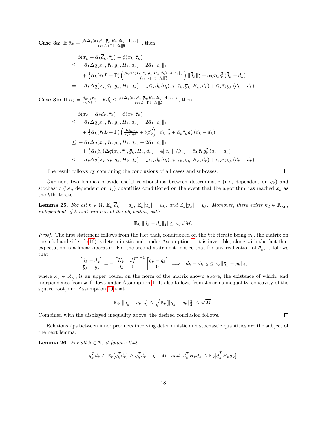**Case 3a:** If  $\bar{\alpha}_k = \frac{\beta_k \Delta q(x_k, \bar{\tau}_k, \bar{g}_k, H_k, d_k) - 4||c_k||_1}{(\bar{\tau}, L + \Gamma)||\bar{d}, ||^2}$  $\frac{\partial F_k, \tau_k, g_k, H_k, a_k}{(\bar{\tau}_k L + \Gamma) \|\bar{d}_k\|_2^2}$ , then

$$
\phi(x_k + \bar{\alpha}_k \bar{d}_k, \bar{\tau}_k) - \phi(x_k, \bar{\tau}_k)
$$
\n
$$
\leq -\bar{\alpha}_k \Delta q(x_k, \bar{\tau}_k, g_k, H_k, d_k) + 2\bar{\alpha}_k ||c_k||_1
$$
\n
$$
+ \frac{1}{2} \bar{\alpha}_k (\bar{\tau}_k L + \Gamma) \left( \frac{\beta_k \Delta q(x_k, \bar{\tau}_k, \bar{g}_k, H_k, \bar{d}_k) - 4||c_k||_1}{(\bar{\tau}_k L + \Gamma) ||\bar{d}_k||_2^2} \right) ||\bar{d}_k||_2^2 + \bar{\alpha}_k \bar{\tau}_k g_k^T (\bar{d}_k - d_k)
$$
\n
$$
= -\bar{\alpha}_k \Delta q(x_k, \bar{\tau}_k, g_k, H_k, d_k) + \frac{1}{2} \bar{\alpha}_k \beta_k \Delta q(x_k, \bar{\tau}_k, \bar{g}_k, H_k, \bar{d}_k) + \bar{\alpha}_k \bar{\tau}_k g_k^T (\bar{d}_k - d_k).
$$

**Case 3b:** If  $\bar{\alpha}_k = \frac{\beta_k \bar{\xi}_k \bar{\tau}_k}{\bar{\tau}_k L + \Gamma} + \theta \beta_k^2 \leq \frac{\beta_k \Delta q(x_k, \bar{\tau}_k, \bar{g}_k, H_k, \bar{d}_k) - 4 \|c_k\|_1}{(\bar{\tau}_k L + \Gamma) \|\bar{d}_k\|_2^2}$  $\frac{\partial F_{k,\tau}(\bar{\tau}_{k},\bar{g}_{k},H_{k},a_{k})-4||\bar{c}_{k}||_{1}}{(\bar{\tau}_{k}L+\Gamma)||\bar{d}_{k}||_{2}^{2}},\$  then

$$
\phi(x_k + \bar{\alpha}_k d_k, \bar{\tau}_k) - \phi(x_k, \bar{\tau}_k)
$$
\n
$$
\leq -\bar{\alpha}_k \Delta q(x_k, \bar{\tau}_k, g_k, H_k, d_k) + 2\bar{\alpha}_k ||c_k||_1
$$
\n
$$
+ \frac{1}{2} \bar{\alpha}_k (\bar{\tau}_k L + \Gamma) \left( \frac{\beta_k \bar{\xi}_k \bar{\tau}_k}{\bar{\tau}_k L + \Gamma} + \theta \beta_k^2 \right) ||\bar{d}_k||_2^2 + \bar{\alpha}_k \bar{\tau}_k g_k^T (\bar{d}_k - d_k)
$$
\n
$$
\leq -\bar{\alpha}_k \Delta q(x_k, \bar{\tau}_k, g_k, H_k, d_k) + 2\bar{\alpha}_k ||c_k||_1
$$
\n
$$
+ \frac{1}{2} \bar{\alpha}_k \beta_k (\Delta q(x_k, \bar{\tau}_k, \bar{g}_k, H_k, \bar{d}_k) - 4 ||c_k||_1 / \beta_k) + \bar{\alpha}_k \bar{\tau}_k g_k^T (\bar{d}_k - d_k)
$$
\n
$$
\leq -\bar{\alpha}_k \Delta q(x_k, \bar{\tau}_k, g_k, H_k, d_k) + \frac{1}{2} \bar{\alpha}_k \beta_k \Delta q(x_k, \bar{\tau}_k, \bar{g}_k, H_k, \bar{d}_k) + \bar{\alpha}_k \bar{\tau}_k g_k^T (\bar{d}_k - d_k).
$$

The result follows by combining the conclusions of all cases and subcases.

Our next two lemmas provide useful relationships between deterministic (i.e., dependent on  $g_k$ ) and stochastic (i.e., dependent on  $\bar{g}_k$ ) quantities conditioned on the event that the algorithm has reached  $x_k$  as the kth iterate.

<span id="page-17-0"></span>**Lemma 25.** For all  $k \in \mathbb{N}$ ,  $\mathbb{E}_k[\bar{d}_k] = d_k$ ,  $\mathbb{E}_k[\bar{u}_k] = u_k$ , and  $\mathbb{E}_k[\bar{y}_k] = y_k$ . Moreover, there exists  $\kappa_d \in \mathbb{R}_{>0}$ , independent of k and any run of the algorithm, with

$$
\mathbb{E}_k[\|\bar{d}_k - d_k\|_2] \le \kappa_d \sqrt{M}.
$$

*Proof.* The first statement follows from the fact that, conditioned on the kth iterate being  $x_k$ , the matrix on the left-hand side of [\(16\)](#page-12-2) is deterministic and, under Assumption [1,](#page-3-2) it is invertible, along with the fact that expectation is a linear operator. For the second statement, notice that for any realization of  $\bar{g}_k$ , it follows that

$$
\begin{bmatrix} \overline{d}_k - d_k \\ \overline{y}_k - y_k \end{bmatrix} = - \begin{bmatrix} H_k & J_k^T \\ J_k & 0 \end{bmatrix}^{-1} \begin{bmatrix} \overline{g}_k - g_k \\ 0 & \end{bmatrix} \implies ||\overline{d}_k - d_k||_2 \le \kappa_d ||\overline{g}_k - g_k||_2,
$$

where  $\kappa_d \in \mathbb{R}_{>0}$  is an upper bound on the norm of the matrix shown above, the existence of which, and independence from  $k$ , follows under Assumption [1.](#page-3-2) It also follows from Jensen's inequality, concavity of the square root, and Assumption [19](#page-12-3) that

$$
\mathbb{E}_k[\|\bar{g}_k - g_k\|_2] \le \sqrt{\mathbb{E}_k[\|\bar{g}_k - g_k\|_2^2]} \le \sqrt{M}.
$$

Combined with the displayed inequality above, the desired conclusion follows.

Relationships between inner products involving deterministic and stochastic quantities are the subject of the next lemma.

<span id="page-17-1"></span>**Lemma 26.** For all  $k \in \mathbb{N}$ , it follows that

$$
g_k^T d_k \ge \mathbb{E}_k[\bar{g}_k^T \bar{d}_k] \ge g_k^T d_k - \zeta^{-1} M \quad \text{and} \quad d_k^T H_k d_k \le \mathbb{E}_k[\bar{d}_k^T H_k \bar{d}_k].
$$

 $\Box$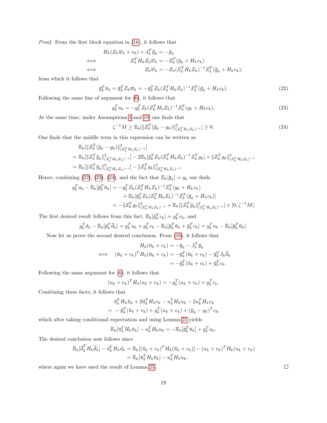Proof. From the first block equation in [\(16\)](#page-12-2), it follows that

$$
H_k(Z_k \overline{w}_k + v_k) + J_k^T \overline{y}_k = -\overline{g}_k
$$
  
\n
$$
\iff Z_k^T H_k Z_k \overline{w}_k = -Z_k^T (\overline{g}_k + H_k v_k)
$$
  
\n
$$
\iff Z_k \overline{w}_k = -Z_k (Z_k^T H_k Z_k)^{-1} Z_k^T (\overline{g}_k + H_k v_k),
$$

from which it follows that

<span id="page-18-0"></span>
$$
\overline{g}_k^T \overline{u}_k = \overline{g}_k^T Z_k \overline{w}_k = -\overline{g}_k^T Z_k (Z_k^T H_k Z_k)^{-1} Z_k^T (\overline{g}_k + H_k v_k). \tag{22}
$$

Following the same line of argument for [\(6\)](#page-4-3), it follows that

<span id="page-18-1"></span>
$$
g_k^T u_k = -g_k^T Z_k (Z_k^T H_k Z_k)^{-1} Z_k^T (g_k + H_k v_k).
$$
\n(23)

At the same time, under Assumptions [4](#page-4-2) and [19,](#page-12-3) one finds that

<span id="page-18-2"></span>
$$
\zeta^{-1}M \ge \mathbb{E}_k[\|Z_k^T(\bar{g}_k - g_k)\|_{(Z_k^TH_kZ_k)^{-1}}^2] \ge 0. \tag{24}
$$

One finds that the middle term in this expression can be written as

$$
\mathbb{E}_{k}[\|Z_{k}^{T}(\bar{g}_{k} - g_{k})\|_{(Z_{k}^{T} H_{k} Z_{k})^{-1}}^{2}]
$$
\n
$$
= \mathbb{E}_{k}[\|Z_{k}^{T}\bar{g}_{k}\|_{(Z_{k}^{T} H_{k} Z_{k})^{-1}}^{2}] - 2\mathbb{E}_{k}[\bar{g}_{k}^{T} Z_{k} (Z_{k}^{T} H_{k} Z_{k})^{-1} Z_{k}^{T} g_{k}] + \|Z_{k}^{T} g_{k}\|_{(Z_{k}^{T} H_{k} Z_{k})^{-1}}^{2}
$$
\n
$$
= \mathbb{E}_{k}[\|Z_{k}^{T}\bar{g}_{k}\|_{(Z_{k}^{T} H_{k} Z_{k})^{-1}}^{2}] - \|Z_{k}^{T} g_{k}\|_{(Z_{k}^{T} H_{k} Z_{k})^{-1}}^{2}.
$$

Hence, combining [\(22\)](#page-18-0), [\(23\)](#page-18-1), [\(24\)](#page-18-2), and the fact that  $\mathbb{E}_k[\bar{g}_k] = g_k$  one finds

$$
g_k^T u_k - \mathbb{E}_k[\bar{g}_k^T \bar{u}_k] = -g_k^T Z_k (Z_k^T H_k Z_k)^{-1} Z_k^T (g_k + H_k v_k)
$$
  
+ 
$$
\mathbb{E}_k[\bar{g}_k^T Z_k (Z_k^T H_k Z_k)^{-1} Z_k^T (\bar{g}_k + H_k v_k)]
$$
  
= 
$$
- \|Z_k^T g_k\|_{(Z_k^T H_k Z_k)^{-1}}^2 + \mathbb{E}_k[\|Z_k^T \bar{g}_k\|_{(Z_k^T H_k Z_k)^{-1}}^2] \in [0, \zeta^{-1} M].
$$

The first desired result follows from this fact,  $\mathbb{E}_k[\bar{g}_k^T v_k] = g_k^T v_k$ , and

$$
g_k^T d_k - \mathbb{E}_k[\overline{g}_k^T \overline{d}_k] = g_k^T u_k + g_k^T v_k - \mathbb{E}_k[\overline{g}_k^T \overline{u}_k + \overline{g}_k^T v_k] = g_k^T u_k - \mathbb{E}_k[\overline{g}_k^T \overline{u}_k].
$$

Now let us prove the second desired conclusion. From [\(16\)](#page-12-2), it follows that

$$
H_k(\overline{u}_k + v_k) = -\overline{g}_k - J_k^T \overline{y}_k
$$
  
\n
$$
\iff (\overline{u}_k + v_k)^T H_k(\overline{u}_k + v_k) = -\overline{g}_k^T (\overline{u}_k + v_k) - \overline{g}_k^T J_k \overline{d}_k
$$
  
\n
$$
= -\overline{g}_k^T (\overline{u}_k + v_k) + \overline{g}_k^T c_k.
$$

Following the same argument for [\(6\)](#page-4-3), it follows that

$$
(u_k + v_k)^T H_k(u_k + v_k) = -g_k^T (u_k + v_k) + y_k^T c_k.
$$

Combining these facts, it follows that

$$
\overline{u}_k^T H_k \overline{u}_k + 2 \overline{u}_k^T H_k v_k - u_k^T H_k u_k - 2 u_k^T H_k v_k
$$
  
= 
$$
- \overline{g}_k^T (\overline{u}_k + v_k) + g_k^T (u_k + v_k) + (\overline{y}_k - y_k)^T c_k,
$$

which after taking conditional expectation and using Lemma [25](#page-17-0) yields

$$
\mathbb{E}_k[\overline{u}_k^T H_k \overline{u}_k] - u_k^T H_k u_k = -\mathbb{E}_k[\overline{g}_k^T \overline{u}_k] + g_k^T u_k.
$$

The desired conclusion now follows since

$$
\mathbb{E}_k[\overline{d}_k^T H_k \overline{d}_k] - d_k^T H_k d_k = \mathbb{E}_k [(\overline{u}_k + v_k)^T H_k (\overline{u}_k + v_k)] - (u_k + v_k)^T H_k (u_k + v_k)
$$
  
=  $\mathbb{E}_k [\overline{u}_k^T H_k \overline{u}_k] - u_k^T H_k u_k$ ,

where again we have used the result of Lemma [25.](#page-17-0)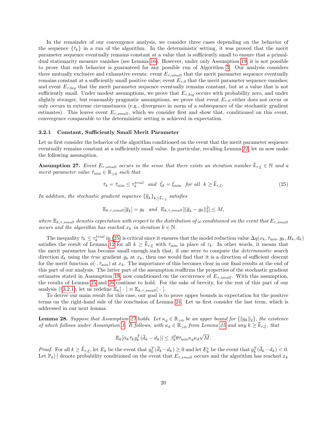In the remainder of our convergence analysis, we consider three cases depending on the behavior of the sequence  $\{\bar{\tau}_k\}$  in a run of the algorithm. In the deterministic setting, it was proved that the merit parameter sequence eventually remains constant at a value that is sufficiently small to ensure that a primaldual stationarity measure vanishes (see Lemma [16\)](#page-10-1). However, under only Assumption [19,](#page-12-3) it is not possible to prove that such behavior is guaranteed for any possible run of Algorithm [3.](#page-14-0) Our analysis considers three mutually exclusive and exhaustive events: event  $E_{\tau,small}$  that the merit parameter sequence eventually remains constant at a sufficiently small positive value; event  $E_{\tau,0}$  that the merit parameter sequence vanishes; and event  $E_{\tau,biq}$  that the merit parameter sequence eventually remains constant, but at a value that is not sufficiently small. Under modest assumptions, we prove that  $E_{\tau,big}$  occurs with probability zero, and under slightly stronger, but reasonably pragmatic assumptions, we prove that event  $E_{\tau,0}$  either does not occur or only occurs in extreme circumstances (e.g., divergence in norm of a subsequence of the stochastic gradient estimates). This leaves event  $E_{\tau,small}$ , which we consider first and show that, conditioned on this event, convergence comparable to the deterministic setting is achieved in expectation.

#### <span id="page-19-1"></span>3.2.1 Constant, Sufficiently Small Merit Parameter

Let us first consider the behavior of the algorithm conditioned on the event that the merit parameter sequence eventually remains constant at a sufficiently small value. In particular, recalling Lemma [22,](#page-15-0) let us now make the following assumption.

<span id="page-19-2"></span>**Assumption 27.** Event  $E_{\tau,small}$  occurs in the sense that there exists an iteration number  $\bar{k}_{\tau,\xi} \in \mathbb{N}$  and a merit parameter value  $\bar{\tau}_{\min} \in \mathbb{R}_{>0}$  such that

<span id="page-19-0"></span>
$$
\bar{\tau}_k = \bar{\tau}_{\min} \le \tau_k^{trial} \quad and \quad \bar{\xi}_k = \bar{\xi}_{\min} \quad \text{for all} \quad k \ge \bar{k}_{\tau,\xi}.\tag{25}
$$

In addition, the stochastic gradient sequence  ${\{\overline{g}_k\}}_{k\geq {\overline{k}}_{\tau, \xi}}$  satisfies

$$
\mathbb{E}_{k,\tau,small}[\overline{g}_k] = g_k \quad and \quad \mathbb{E}_{k,\tau,small}[\|\overline{g}_k - g_k\|_2^2] \le M,
$$

where  $\mathbb{E}_{k,\tau,small}$  denotes expectation with respect to the distribution of  $\omega$  conditioned on the event that  $E_{\tau,small}$ occurs and the algorithm has reached  $x_k$  in iteration  $k \in \mathbb{N}$ .

The inequality  $\bar{\tau}_k \leq \tau_k^{trial}$  in [\(25\)](#page-19-0) is critical since it ensures that the model reduction value  $\Delta q(x_k, \bar{\tau}_{\min}, g_k, H_k, d_k)$ satisfies the result of Lemma [12](#page-9-2) for all  $k \geq \bar{k}_{\tau,\xi}$  with  $\bar{\tau}_{\min}$  in place of  $\tau_k$ . In other words, it means that the merit parameter has become small enough such that, if one were to compute the deterministic search direction  $d_k$  using the *true* gradient  $g_k$  at  $x_k$ , then one would find that it is a direction of sufficient descent for the merit function  $\phi(\cdot, \bar{\tau}_{\min})$  at  $x_k$ . The importance of this becomes clear in our final results at the end of this part of our analysis. The latter part of the assumption reaffirms the properties of the stochastic gradient estimates stated in Assumption [19,](#page-12-3) now conditioned on the occurrence of  $E_{\tau,small}$ . With this assumption, the results of Lemma [25](#page-17-0) and [26](#page-17-1) continue to hold. For the sake of brevity, for the rest of this part of our analysis (§[3.2.1\)](#page-19-1), let us redefine  $\mathbb{E}_k[\cdot] \equiv \mathbb{E}_{k,\tau,small}[\cdot].$ 

To derive our main result for this case, our goal is to prove upper bounds in expectation for the positive terms on the right-hand side of the conclusion of Lemma [24.](#page-15-1) Let us first consider the last term, which is addressed in our next lemma.

<span id="page-19-3"></span>**Lemma 28.** Suppose that Assumption [27](#page-19-2) holds. Let  $\kappa_g \in \mathbb{R}_{>0}$  be an upper bound for  $\{\|g_k\|_2\}$ , the existence of which follows under Assumption [1.](#page-3-2) It follows, with  $\kappa_d \in \mathbb{R}_{>0}$  from Lemma [25](#page-17-0) and any  $k \geq \bar{k}_{\tau,\xi}$ , that

$$
\mathbb{E}_k[\bar{\alpha}_k \bar{\tau}_k g_k^T(\bar{d}_k - d_k)] \leq \beta_k^2 \theta \bar{\tau}_{\min} \kappa_g \kappa_d \sqrt{M}.
$$

*Proof.* For all  $k \ge \bar{k}_{\tau,\xi}$ , let  $E_k$  be the event that  $g_k^T(\bar{d}_k - d_k) \ge 0$  and let  $E_k^c$  be the event that  $g_k^T(\bar{d}_k - d_k) < 0$ . Let  $\mathbb{P}_k[\cdot]$  denote probability conditioned on the event that  $E_{\tau,small}$  occurs and the algorithm has reached  $x_k$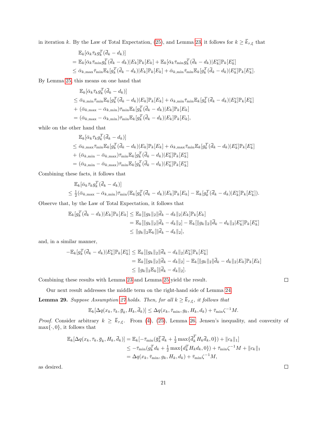in iteration k. By the Law of Total Expectation, [\(25\)](#page-19-0), and Lemma [23,](#page-15-2) it follows for  $k \ge \bar{k}_{\tau,\xi}$  that

$$
\mathbb{E}_{k}[\bar{\alpha}_{k}\bar{\tau}_{k}g_{k}^{T}(\bar{d}_{k}-d_{k})]
$$
\n
$$
= \mathbb{E}_{k}[\bar{\alpha}_{k}\bar{\tau}_{\min}g_{k}^{T}(\bar{d}_{k}-d_{k})|E_{k}]\mathbb{P}_{k}[E_{k}] + \mathbb{E}_{k}[\bar{\alpha}_{k}\bar{\tau}_{\min}g_{k}^{T}(\bar{d}_{k}-d_{k})|E_{k}^{c}]\mathbb{P}_{k}[E_{k}^{c}]
$$
\n
$$
\leq \bar{\alpha}_{k,\max}\bar{\tau}_{\min}\mathbb{E}_{k}[g_{k}^{T}(\bar{d}_{k}-d_{k})|E_{k}]\mathbb{P}_{k}[E_{k}] + \bar{\alpha}_{k,\min}\bar{\tau}_{\min}\mathbb{E}_{k}[g_{k}^{T}(\bar{d}_{k}-d_{k})|E_{k}^{c}]\mathbb{P}_{k}[E_{k}^{c}].
$$

By Lemma [25,](#page-17-0) this means on one hand that

$$
\mathbb{E}_{k}[\bar{\alpha}_{k}\bar{\tau}_{k}g_{k}^{T}(\bar{d}_{k}-d_{k})]
$$
\n
$$
\leq \bar{\alpha}_{k,\min}\bar{\tau}_{\min}\mathbb{E}_{k}[g_{k}^{T}(\bar{d}_{k}-d_{k})|E_{k}]\mathbb{P}_{k}[E_{k}] + \bar{\alpha}_{k,\min}\bar{\tau}_{\min}\mathbb{E}_{k}[g_{k}^{T}(\bar{d}_{k}-d_{k})|E_{k}^{c}]\mathbb{P}_{k}[E_{k}^{c}]
$$
\n
$$
+ (\bar{\alpha}_{k,\max}-\bar{\alpha}_{k,\min})\bar{\tau}_{\min}\mathbb{E}_{k}[g_{k}^{T}(\bar{d}_{k}-d_{k})|E_{k}]\mathbb{P}_{k}[E_{k}]
$$
\n
$$
= (\bar{\alpha}_{k,\max}-\bar{\alpha}_{k,\min})\bar{\tau}_{\min}\mathbb{E}_{k}[g_{k}^{T}(\bar{d}_{k}-d_{k})|E_{k}]\mathbb{P}_{k}[E_{k}],
$$

while on the other hand that

$$
\mathbb{E}_{k}[\bar{\alpha}_{k}\bar{\tau}_{k}g_{k}^{T}(\bar{d}_{k}-d_{k})]
$$
\n
$$
\leq \bar{\alpha}_{k,\max}\bar{\tau}_{\min}\mathbb{E}_{k}[g_{k}^{T}(\bar{d}_{k}-d_{k})|E_{k}]\mathbb{P}_{k}[E_{k}] + \bar{\alpha}_{k,\max}\bar{\tau}_{\min}\mathbb{E}_{k}[g_{k}^{T}(\bar{d}_{k}-d_{k})|E_{k}^{c}]\mathbb{P}_{k}[E_{k}^{c}]
$$
\n
$$
+ (\bar{\alpha}_{k,\min} - \bar{\alpha}_{k,\max})\bar{\tau}_{\min}\mathbb{E}_{k}[g_{k}^{T}(\bar{d}_{k}-d_{k})|E_{k}^{c}]\mathbb{P}_{k}[E_{k}^{c}]
$$
\n
$$
= (\bar{\alpha}_{k,\min} - \bar{\alpha}_{k,\max})\bar{\tau}_{\min}\mathbb{E}_{k}[g_{k}^{T}(\bar{d}_{k}-d_{k})|E_{k}^{c}]\mathbb{P}_{k}[E_{k}^{c}]
$$

Combining these facts, it follows that

$$
\mathbb{E}_k[\bar{\alpha}_k \bar{\tau}_k g_k^T(\bar{d}_k - d_k)]
$$
  
\n
$$
\leq \frac{1}{2}(\bar{\alpha}_{k,\max} - \bar{\alpha}_{k,\min}) \bar{\tau}_{\min}(\mathbb{E}_k[g_k^T(\bar{d}_k - d_k)|E_k]\mathbb{P}_k[E_k] - \mathbb{E}_k[g_k^T(\bar{d}_k - d_k)|E_k^c]\mathbb{P}_k[E_k^c]).
$$

Observe that, by the Law of Total Expectation, it follows that

$$
\mathbb{E}_{k}[g_{k}^{T}(\bar{d}_{k} - d_{k})|E_{k}]\mathbb{P}_{k}[E_{k}] \leq \mathbb{E}_{k}[\|g_{k}\|_{2}\|\bar{d}_{k} - d_{k}\|_{2}|E_{k}]\mathbb{P}_{k}[E_{k}]
$$
\n
$$
= \mathbb{E}_{k}[\|g_{k}\|_{2}\|\bar{d}_{k} - d_{k}\|_{2}] - \mathbb{E}_{k}[\|g_{k}\|_{2}\|\bar{d}_{k} - d_{k}\|_{2}]E_{k}^{c}]\mathbb{P}_{k}[E_{k}^{c}]
$$
\n
$$
\leq \|g_{k}\|_{2}\mathbb{E}_{k}[\|\bar{d}_{k} - d_{k}\|_{2}],
$$

and, in a similar manner,

$$
-\mathbb{E}_{k}[g_{k}^{T}(\bar{d}_{k} - d_{k})|E_{k}^{c}]\mathbb{P}_{k}[E_{k}^{c}] \leq \mathbb{E}_{k}[\|g_{k}\|_{2}\|\bar{d}_{k} - d_{k}\|_{2}|E_{k}^{c}]\mathbb{P}_{k}[E_{k}^{c}]
$$
  
\n
$$
= \mathbb{E}_{k}[\|g_{k}\|_{2}\|\bar{d}_{k} - d_{k}\|_{2}] - \mathbb{E}_{k}[\|g_{k}\|_{2}\|\bar{d}_{k} - d_{k}\|_{2}|E_{k}]\mathbb{P}_{k}[E_{k}]
$$
  
\n
$$
\leq \|g_{k}\|_{2}\mathbb{E}_{k}[\|\bar{d}_{k} - d_{k}\|_{2}].
$$

Combining these results with Lemma [23](#page-15-2) and Lemma [25](#page-17-0) yield the result.

Our next result addresses the middle term on the right-hand side of Lemma [24.](#page-15-1)

<span id="page-20-0"></span>**Lemma 29.** Suppose Assumption [27](#page-19-2) holds. Then, for all  $k \geq \bar{k}_{\tau,\xi}$ , it follows that

$$
\mathbb{E}_k[\Delta q(x_k,\bar{\tau}_k,\bar{g}_k,H_k,\bar{d}_k)] \leq \Delta q(x_k,\bar{\tau}_{\min},g_k,H_k,d_k) + \bar{\tau}_{\min}\zeta^{-1}M.
$$

*Proof.* Consider arbitrary  $k \ge \bar{k}_{\tau,\xi}$ . From [\(4\)](#page-4-1), [\(25\)](#page-19-0), Lemma [26,](#page-17-1) Jensen's inequality, and convexity of  $\max\{\cdot, 0\}$ , it follows that

$$
\mathbb{E}_{k}[\Delta q(x_{k}, \bar{\tau}_{k}, \bar{g}_{k}, H_{k}, \bar{d}_{k})] = \mathbb{E}_{k}[-\bar{\tau}_{\min}(\bar{g}_{k}^{T}\bar{d}_{k} + \frac{1}{2}\max\{\bar{d}_{k}^{T}H_{k}\bar{d}_{k}, 0\}) + \|c_{k}\|_{1}]
$$
  
\n
$$
\leq -\bar{\tau}_{\min}(g_{k}^{T}d_{k} + \frac{1}{2}\max\{d_{k}^{T}H_{k}d_{k}, 0\}) + \bar{\tau}_{\min}\zeta^{-1}M + \|c_{k}\|_{1}
$$
  
\n
$$
= \Delta q(x_{k}, \bar{\tau}_{\min}, g_{k}, H_{k}, d_{k}) + \bar{\tau}_{\min}\zeta^{-1}M,
$$

as desired.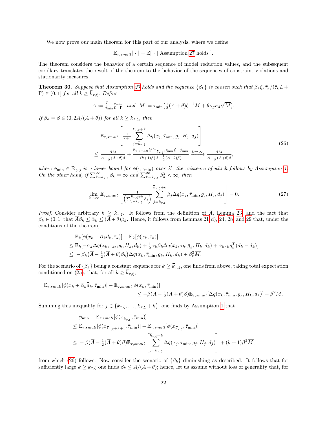We now prove our main theorem for this part of our analysis, where we define

$$
\mathbb{E}_{\tau,small}[\cdot] = \mathbb{E}[\cdot | \text{ Assumption 27 holds }].
$$

The theorem considers the behavior of a certain sequence of model reduction values, and the subsequent corollary translates the result of the theorem to the behavior of the sequences of constraint violations and stationarity measures.

<span id="page-21-2"></span>**Theorem 30.** Suppose that Assumption [27](#page-19-2) holds and the sequence  $\{\beta_k\}$  is chosen such that  $\beta_k \bar{\xi}_k \bar{\tau}_k/(\bar{\tau}_k L +$  $\Gamma$ )  $\in$  (0, 1] for all  $k \geq \bar{k}_{\tau,\xi}$ . Define

$$
\overline{A} := \frac{\overline{\xi}_{\min}\overline{\tau}_{\min}}{\overline{\tau}_{\min}L + \Gamma} \quad and \quad \overline{M} := \overline{\tau}_{\min}\left(\frac{1}{2}(\overline{A} + \theta)\zeta^{-1}M + \theta\kappa_{g}\kappa_{d}\sqrt{M}\right).
$$

If  $\beta_k = \beta \in (0, 2\overline{A}/(\overline{A} + \theta))$  for all  $k \geq \overline{k}_{\tau, \xi}$ , then

<span id="page-21-0"></span>
$$
\mathbb{E}_{\tau,small} \left[ \frac{\frac{\bar{k}_{\tau,\xi} + k}{k+1} \Delta q(x_j, \bar{\tau}_{\min}, g_j, H_j, d_j)}{\frac{\partial \bar{M}}{k+1} \Delta q(x_j, \bar{\tau}_{\min}, g_j, H_j, d_j)} \right] \leq \frac{\beta \overline{M}}{\frac{\beta \overline{M}}{A - \frac{1}{2} (\overline{A} + \theta)\beta} + \frac{\mathbb{E}_{\tau,small} [\phi(x_{\overline{k}_{\tau,\xi}}, \bar{\tau}_{\min})] - \phi_{\min}}{(k+1)\beta (\overline{A} - \frac{1}{2} (\overline{A} + \theta)\beta)} \xrightarrow{k \to \infty} \frac{\beta \overline{M}}{\overline{A} - \frac{1}{2} (\overline{A} + \theta)\beta},
$$
\n(26)

where  $\phi_{\min} \in \mathbb{R}_{>0}$  is a lower bound for  $\phi(\cdot, \bar{\tau}_{\min})$  over X, the existence of which follows by Assumption [1.](#page-3-2) On the other hand, if  $\sum_{k=\bar{k}_{\tau,\xi}}^{\infty} \beta_k = \infty$  and  $\sum_{k=\bar{k}_{\tau,\xi}}^{\infty} \beta_k^2 < \infty$ , then

<span id="page-21-1"></span>
$$
\lim_{k \to \infty} \mathbb{E}_{\tau,small} \left[ \frac{1}{\left( \sum_{j=\overline{k}_{\tau,\xi}}^{\overline{k}_{\tau,\xi}+k} \beta_j \right)} \sum_{j=\overline{k}_{\tau,\xi}}^{\overline{k}_{\tau,\xi}+k} \beta_j \Delta q(x_j, \overline{\tau}_{\min}, g_j, H_j, d_j) \right] = 0. \tag{27}
$$

*Proof.* Consider arbitrary  $k \geq \bar{k}_{\tau,\xi}$ . It follows from the definition of  $\bar{A}$ , Lemma [23,](#page-15-2) and the fact that  $\beta_k \in (0,1]$  that  $\overline{A}\beta_k \leq \overline{\alpha}_k \leq (\overline{A}+\theta)\overline{\beta}_k$ . Hence, it follows from Lemmas [21\(](#page-14-1)d), [24,](#page-15-1) [28,](#page-19-3) and [29](#page-20-0) that, under the conditions of the theorem,

$$
\mathbb{E}_{k}[\phi(x_{k} + \bar{\alpha}_{k}\bar{d}_{k}, \bar{\tau}_{k})] - \mathbb{E}_{k}[\phi(x_{k}, \bar{\tau}_{k})]
$$
\n
$$
\leq \mathbb{E}_{k}[-\bar{\alpha}_{k}\Delta q(x_{k}, \bar{\tau}_{k}, g_{k}, H_{k}, d_{k}) + \frac{1}{2}\bar{\alpha}_{k}\beta_{k}\Delta q(x_{k}, \bar{\tau}_{k}, \bar{g}_{k}, H_{k}, \bar{d}_{k}) + \bar{\alpha}_{k}\bar{\tau}_{k}g_{k}^{T}(\bar{d}_{k} - d_{k})]
$$
\n
$$
\leq -\beta_{k}(\bar{A} - \frac{1}{2}(\bar{A} + \theta)\beta_{k})\Delta q(x_{k}, \bar{\tau}_{\min}, g_{k}, H_{k}, d_{k}) + \beta_{k}^{2}\bar{M}.
$$

For the scenario of  $\{\beta_k\}$  being a constant sequence for  $k \geq \bar{k}_{\tau,\xi}$ , one finds from above, taking total expectation conditioned on [\(25\)](#page-19-0), that, for all  $k \geq \bar{k}_{\tau,\xi}$ ,

$$
\mathbb{E}_{\tau,small}[\phi(x_k + \bar{\alpha}_k \bar{d}_k, \bar{\tau}_{\min})] - \mathbb{E}_{\tau,small}[\phi(x_k, \bar{\tau}_{\min})] \n\leq -\beta(\bar{A} - \frac{1}{2}(\bar{A} + \theta)\beta)\mathbb{E}_{\tau,small}[\Delta q(x_k, \bar{\tau}_{\min}, g_k, H_k, d_k)] + \beta^2 \overline{M}.
$$

Summing this inequality for  $j \in \{\bar{k}_{\tau,\xi}, \ldots, \bar{k}_{\tau,\xi} + k\}$ , one finds by Assumption [1](#page-3-2) that

$$
\phi_{\min} - \mathbb{E}_{\tau,small}[\phi(x_{\overline{k}_{\tau,\xi}}, \overline{\tau}_{\min})]
$$
\n
$$
\leq \mathbb{E}_{\tau,small}[\phi(x_{\overline{k}_{\tau,\xi}+k+1}, \overline{\tau}_{\min})] - \mathbb{E}_{\tau,small}[\phi(x_{\overline{k}_{\tau,\xi}}, \overline{\tau}_{\min})]
$$
\n
$$
\leq -\beta(\overline{A} - \frac{1}{2}(\overline{A} + \theta)\beta)\mathbb{E}_{\tau,small}[\sum_{j=\overline{k}_{\tau,\xi}}^{\overline{k}_{\tau,\xi}+k} \Delta q(x_j, \overline{\tau}_{\min}, g_j, H_j, d_j)] + (k+1)\beta^2 \overline{M},
$$

from which [\(26\)](#page-21-0) follows. Now consider the scenario of  $\{\beta_k\}$  diminishing as described. It follows that for sufficiently large  $k \ge \bar{k}_{\tau,\xi}$  one finds  $\beta_k \le \bar{A}/(\bar{A}+\theta)$ ; hence, let us assume without loss of generality that, for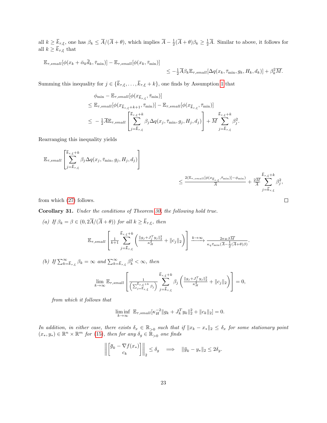all  $k \geq \bar{k}_{\tau,\xi}$ , one has  $\beta_k \leq \bar{A}/(\bar{A} + \theta)$ , which implies  $\bar{A} - \frac{1}{2}(\bar{A} + \theta)\beta_k \geq \frac{1}{2}\bar{A}$ . Similar to above, it follows for all  $k \geq \bar{k}_{\tau,\xi}$  that

$$
\mathbb{E}_{\tau,small}[\phi(x_k + \bar{\alpha}_k \bar{d}_k, \bar{\tau}_{\min})] - \mathbb{E}_{\tau,small}[\phi(x_k, \bar{\tau}_{\min})] \leq -\frac{1}{2}\overline{A}\beta_k \mathbb{E}_{\tau,small}[\Delta q(x_k, \bar{\tau}_{\min}, g_k, H_k, d_k)] + \beta_k^2 \overline{M}.
$$

Summing this inequality for  $j \in \{\bar{k}_{\tau,\xi}, \ldots, \bar{k}_{\tau,\xi} + k\}$ , one finds by Assumption [1](#page-3-2) that

$$
\phi_{\min} - \mathbb{E}_{\tau,small}[\phi(x_{\overline{k}_{\tau,\xi}}, \overline{\tau}_{\min})]
$$
\n
$$
\leq \mathbb{E}_{\tau,small}[\phi(x_{\overline{k}_{\tau,\xi}+k+1}, \overline{\tau}_{\min})] - \mathbb{E}_{\tau,small}[\phi(x_{\overline{k}_{\tau,\xi}}, \overline{\tau}_{\min})]
$$
\n
$$
\leq -\frac{1}{2}\overline{A}\mathbb{E}_{\tau,small}[\sum_{j=\overline{k}_{\tau,\xi}}^{\overline{k}_{\tau,\xi}+k} \beta_j \Delta q(x_j, \overline{\tau}_{\min}, g_j, H_j, d_j)] + \overline{M} \sum_{j=\overline{k}_{\tau,\xi}}^{\overline{k}_{\tau,\xi}+k} \beta_j^2.
$$

Rearranging this inequality yields

$$
\mathbb{E}_{\tau,small}\left[\sum_{j=\overline{k}_{\tau,\xi}}^{\overline{k}_{\tau,\xi}+k}\beta_j\Delta q(x_j,\bar{\tau}_{\min},g_j,H_j,d_j)\right]
$$
  
 
$$
\leq \frac{2(\mathbb{E}_{\tau,small}[\phi(x_{\overline{k}_{\tau,\xi}},\bar{\tau}_{\min})]-\phi_{\min})}{\overline{A}}+\frac{2\overline{M}}{\overline{A}}\sum_{j=\overline{k}_{\tau,\xi}}^{\overline{k}_{\tau,\xi}+k}\beta_j^2,
$$

from which [\(27\)](#page-21-1) follows.

<span id="page-22-0"></span>Corollary 31. Under the conditions of Theorem [30,](#page-21-2) the following hold true.

(a) If  $\beta_k = \beta \in (0, 2\overline{A}/(\overline{A} + \theta))$  for all  $k \geq \overline{k}_{\tau, \xi}$ , then  $\mathbb{E}_{\tau,small}$  $\lceil$  $\frac{1}{k+1}$  $k_{\tau,\xi}$  $\sum$  $+k$  $j = k_{\tau, \xi}$  $\left( \frac{\|g_j + J_j^Ty_j\|_2^2}{\kappa_H^2} + \|c_j\|_2 \right)$  $\left| \xrightarrow{k \to \infty} \frac{2\kappa_{\Psi} \beta \overline{M}}{\kappa_q \bar{\tau}_{\min} (\overline{A} - \frac{1}{2} (\overline{A} + \theta) \beta)}. \right|$ (b) If  $\sum_{k=\bar{k}_{\tau,\xi}}^{\infty} \beta_k = \infty$  and  $\sum_{k=\bar{k}_{\tau,\xi}}^{\infty} \beta_k^2 < \infty$ , then

$$
\lim_{k \to \infty} \mathbb{E}_{\tau,small} \left[ \frac{1}{\left( \sum_{j=\overline{k}_{\tau,\xi}}^{\overline{k}_{\tau,\xi}+k} \beta_j \right)} \sum_{j=\overline{k}_{\tau,\xi}}^{\overline{k}_{\tau,\xi}+k} \beta_j \left( \frac{\|g_j+J_j^T g_j\|_2^2}{\kappa_H^2} + \|c_j\|_2 \right) \right] = 0,
$$

from which it follows that

$$
\liminf_{k \to \infty} \mathbb{E}_{\tau, small}[\kappa_H^{-2} \| g_k + J_k^T y_k \|_2^2 + \| c_k \|_2] = 0.
$$

In addition, in either case, there exists  $\delta_x \in \mathbb{R}_{>0}$  such that if  $||x_k - x_*||_2 \leq \delta_x$  for some stationary point  $(x_*, y_*) \in \mathbb{R}^n \times \mathbb{R}^m$  for [\(15\)](#page-12-1), then for any  $\delta_g \in \widetilde{\mathbb{R}}_{>0}$  one finds

$$
\left\| \begin{bmatrix} \overline{g}_k - \nabla f(x_*) \\ c_k \end{bmatrix} \right\|_2 \le \delta_g \quad \Longrightarrow \quad \|\overline{y}_k - y_*\|_2 \le 2\delta_g.
$$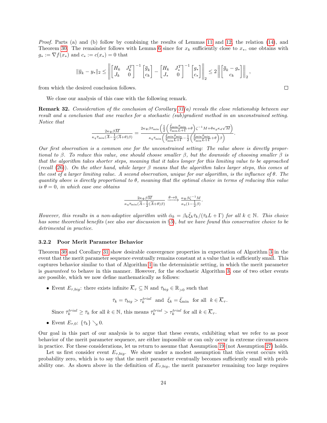Proof. Parts (a) and (b) follow by combining the results of Lemmas [11](#page-8-3) and [12,](#page-9-2) the relation [\(14\)](#page-12-5), and Theorem [30.](#page-21-2) The remainder follows with Lemma [6](#page-5-5) since for  $x_k$  sufficiently close to  $x_*$ , one obtains with  $g_* := \nabla f(x_*)$  and  $c_* := c(x_*) = 0$  that

$$
\|\overline{y}_k - y_*\|_2 \le \left\| \begin{bmatrix} H_k & J_k^T \\ J_k & 0 \end{bmatrix}^{-1} \begin{bmatrix} \overline{g}_k \\ c_k \end{bmatrix} - \begin{bmatrix} H_k & J_*^T \\ J_* & 0 \end{bmatrix}^{-1} \begin{bmatrix} g_* \\ c_* \end{bmatrix} \right\|_2 \le 2 \left\| \begin{bmatrix} \overline{g}_k - g_* \\ c_k \end{bmatrix} \right\|_2,
$$

from which the desired conclusion follows.

We close our analysis of this case with the following remark.

Remark 32. Consideration of the conclusion of Corollary [31\(](#page-22-0)a) reveals the close relationship between our result and a conclusion that one reaches for a stochastic (sub)gradient method in an unconstrained setting. Notice that

$$
\frac{2\kappa_\Psi\beta\overline{M}}{\kappa_q\bar\tau_{\min}(\overline{A}-\frac{1}{2}(\overline{A}+\theta)\beta)}=\frac{2\kappa_\Psi\beta\bar\tau_{\min}\bigg(\frac{1}{2}\bigg(\frac{\bar\xi_{\min}\bar\tau_{\min}}{\bar\tau_{\min}L+\Gamma}+\theta\bigg)\zeta^{-1}M+\theta\kappa_g\kappa_d\sqrt{M}\bigg)}{\kappa_q\bar\tau_{\min}\bigg(\frac{\bar\xi_{\min}\bar\tau_{\min}}{\bar\tau_{\min}L+\Gamma}-\frac{1}{2}\bigg(\frac{\bar\xi_{\min}\bar\tau_{\min}}{\bar\tau_{\min}L+\Gamma}+\theta\bigg)\beta\bigg)}.
$$

Our first observation is a common one for the unconstrained setting: The value above is directly proportional to β. To reduce this value, one should choose smaller β, but the downside of choosing smaller β is that the algorithm takes shorter steps, meaning that it takes longer for this limiting value to be approached (recall [\(26\)](#page-21-0)). On the other hand, while larger  $\beta$  means that the algorithm takes larger steps, this comes at the cost of a larger limiting value. A second observation, unique for our algorithm, is the influence of θ. The quantity above is directly proportional to  $\theta$ , meaning that the optimal choice in terms of reducing this value is  $\theta = 0$ , in which case one obtains

$$
\frac{2\kappa_\Psi\beta\overline{M}}{\kappa_q\bar\tau_{\min}(\overline{A}-\frac{1}{2}(\overline{A}+\theta)\beta)}\xrightarrow{\theta\to 0}\frac{\kappa_\Psi\beta\zeta^{-1}M}{\kappa_q(1-\frac{1}{2}\beta)}.
$$

However, this results in a non-adaptive algorithm with  $\bar{\alpha}_k = \beta_k \bar{\xi}_k \bar{\tau}_k/(\bar{\tau}_k L + \Gamma)$  for all  $k \in \mathbb{N}$ . This choice has some theoretical benefits (see also our discussion in §[5](#page-26-0)), but we have found this conservative choice to be detrimental in practice.

#### 3.2.2 Poor Merit Parameter Behavior

Theorem [30](#page-21-2) and Corollary [31](#page-22-0) show desirable convergence properties in expectation of Algorithm [3](#page-14-0) in the event that the merit parameter sequence eventually remains constant at a value that is sufficiently small. This captures behavior similar to that of Algorithm [1](#page-7-0) in the deterministic setting, in which the merit parameter is guaranteed to behave in this manner. However, for the stochastic Algorithm [3,](#page-14-0) one of two other events are possible, which we now define mathematically as follows:

• Event  $E_{\tau,big}$ : there exists infinite  $\overline{\mathcal{K}}_{\tau} \subseteq \mathbb{N}$  and  $\overline{\tau}_{big} \in \mathbb{R}_{>0}$  such that

$$
\bar{\tau}_k = \bar{\tau}_{big} > \tau_k^{trial} \text{ and } \bar{\xi}_k = \bar{\xi}_{\min} \text{ for all } k \in \overline{\mathcal{K}}_{\tau}.
$$

Since  $\bar{\tau}_k^{trial} \geq \bar{\tau}_k$  for all  $k \in \mathbb{N}$ , this means  $\bar{\tau}_k^{trial} > \tau_k^{trial}$  for all  $k \in \overline{\mathcal{K}}_{\tau}$ .

• Event  $E_{\tau,0}$ :  $\{\bar{\tau}_k\} \searrow 0$ .

Our goal in this part of our analysis is to argue that these events, exhibiting what we refer to as poor behavior of the merit parameter sequence, are either impossible or can only occur in extreme circumstances in practice. For these considerations, let us return to assume that Assumption [19](#page-12-3) (not Assumption [27\)](#page-19-2) holds.

Let us first consider event  $E_{\tau,biq}$ . We show under a modest assumption that this event occurs with probability zero, which is to say that the merit parameter eventually becomes sufficiently small with probability one. As shown above in the definition of  $E_{\tau,biq}$ , the merit parameter remaining too large requires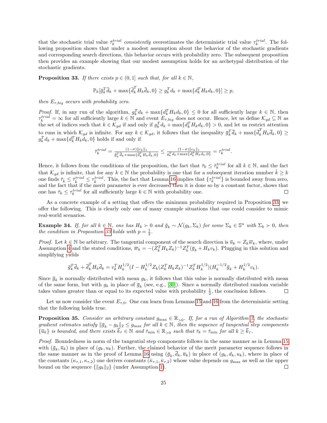that the stochastic trial value  $\bar{\tau}_k^{trial}$  consistently overestimates the deterministic trial value  $\tau_k^{trial}$ . The following proposition shows that under a modest assumption about the behavior of the stochastic gradients and corresponding search directions, this behavior occurs with probability zero. The subsequent proposition then provides an example showing that our modest assumption holds for an archetypal distribution of the stochastic gradients.

<span id="page-24-0"></span>**Proposition 33.** If there exists  $p \in (0,1]$  such that, for all  $k \in \mathbb{N}$ ,

$$
\mathbb{P}_k[\overline{g}_k^T \overline{d}_k + \max\{\overline{d}_k^T H_k \overline{d}_k, 0\} \ge g_k^T d_k + \max\{d_k^T H_k d_k, 0\}] \ge p,
$$

then  $E_{\tau,big}$  occurs with probability zero.

*Proof.* If, in any run of the algorithm,  $g_k^T d_k + \max\{d_k^T H_k d_k, 0\} \leq 0$  for all sufficiently large  $k \in \mathbb{N}$ , then  $\tau_k^{trial} = \infty$  for all sufficiently large  $k \in \mathbb{N}$  and event  $E_{\tau,big}$  does not occur. Hence, let us define  $\mathcal{K}_{gd} \subseteq \mathbb{N}$  as the set of indices such that  $k \in \mathcal{K}_{gd}$  if and only if  $g_k^T d_k + \max\{d_k^T H_k d_k, 0\} > 0$ , and let us restrict attention to runs in which  $\mathcal{K}_{gd}$  is infinite. For any  $k \in \mathcal{K}_{gd}$ , it follows that the inequality  $\bar{g}_k^T \bar{d}_k + \max\{\bar{d}_k^T H_k \bar{d}_k, 0\} \ge$  $g_k^T d_k + \max\{d_k^T H_k d_k, 0\}$  holds if and only if

$$
\bar{\tau}_k^{trial} = \frac{(1-\sigma)\|c_k\|_1}{\bar{g}_k^T \bar{d}_k + \max\{\bar{d}_k^T H_k \bar{d}_k, 0\}} \le \frac{(1-\sigma)\|c_k\|_1}{g_k^T d_k + \max\{d_k^T H_k d_k, 0\}} = \tau_k^{trial}.
$$

Hence, it follows from the conditions of the proposition, the fact that  $\bar{\tau}_k \leq \bar{\tau}_k^{trial}$  for all  $k \in \mathbb{N}$ , and the fact that  $\mathcal{K}_{gd}$  is infinite, that for any  $k \in \mathbb{N}$  the probability is one that for a subsequent iteration number  $\hat{k} \geq k$ one finds  $\bar{\tau}_k \leq \bar{\tau}_k^{trial} \leq \tau_k^{trial}$ . This, the fact that Lemma [16](#page-10-1) implies that  $\{\tau_k^{trial}\}$  is bounded away from zero, and the fact that if the merit parameter is ever decreased then it is done so by a constant factor, shows that one has  $\bar{\tau}_k \leq \tau_k^{trial}$  for all sufficiently large  $k \in \mathbb{N}$  with probability one.  $\Box$ 

As a concrete example of a setting that offers the minimum probability required in Proposition [33,](#page-24-0) we offer the following. This is clearly only one of many example situations that one could consider to mimic real-world scenarios.

**Example 34.** If, for all  $k \in \mathbb{N}$ , one has  $H_k \succ 0$  and  $\bar{g}_k \sim \mathcal{N}(g_k, \Sigma_k)$  for some  $\Sigma_k \in \mathbb{S}^n$  with  $\Sigma_k \succ 0$ , then the condition in Proposition [33](#page-24-0) holds with  $p = \frac{1}{2}$ .

*Proof.* Let  $k \in \mathbb{N}$  be arbitrary. The tangential component of the search direction is  $\overline{u}_k = Z_k \overline{w}_k$ , where, under Assumption [4](#page-4-2) and the stated conditions,  $\overline{w}_k = -(Z_k^T H_k Z_k)^{-1} Z_k^T (\overline{g}_k + H_k v_k)$ . Plugging in this solution and simplifying yields

$$
\bar{g}_k^T \bar{d}_k + \bar{d}_k^T H_k \bar{d}_k = v_k^T H_k^{1/2} (I - H_k^{1/2} Z_k (Z_k^T H_k Z_k)^{-1} Z_k^T H_k^{1/2}) (H_k^{-1/2} \bar{g}_k + H_k^{1/2} v_k).
$$

Since  $\bar{g}_k$  is normally distributed with mean  $g_k$ , it follows that this value is normally distributed with mean of the same form, but with  $g_k$  in place of  $\bar{g}_k$  (see, e.g., [\[30\]](#page-29-10)). Since a normally distributed random variable takes values greater than or equal to its expected value with probability  $\frac{1}{2}$ , the conclusion follows.  $\Box$ 

Let us now consider the event  $E_{\tau,0}$ . One can learn from Lemmas [15](#page-10-0) and [16](#page-10-1) from the deterministic setting that the following holds true.

<span id="page-24-1"></span>**Proposition 35.** Consider an arbitrary constant  $g_{\text{max}} \in \mathbb{R}_{>0}$ . If, for a run of Algorithm [3,](#page-14-0) the stochastic gradient estimates satisfy  $\|\bar{g}_k - g_k\|_2 \leq g_{\text{max}}$  for all  $k \in \mathbb{N}$ , then the sequence of tangential step components  $\{\overline{u}_k\}$  is bounded, and there exists  $\overline{k}_{\tau} \in \mathbb{N}$  and  $\overline{\tau}_{\min} \in \mathbb{R}_{>0}$  such that  $\overline{\tau}_k = \overline{\tau}_{\min}$  for all  $k \geq \overline{k}_{\tau}$ .

Proof. Boundedness in norm of the tangential step components follows in the same manner as in Lemma [15](#page-10-0) with  $(\bar{g}_k, \bar{u}_k)$  in place of  $(g_k, u_k)$ . Further, the claimed behavior of the merit parameter sequence follows in the same manner as in the proof of Lemma [16](#page-10-1) using  $(\bar{g}_k, d_k, \bar{u}_k)$  in place of  $(g_k, d_k, u_k)$ , where in place of the constants  $(\kappa_{\tau,1}, \kappa_{\tau,2})$  one derives constants  $(\bar{\kappa}_{\tau,1}, \bar{\kappa}_{\tau,2})$  whose value depends on  $g_{\text{max}}$  as well as the upper bound on the sequence  $\{\|g_k\|_2\}$  (under Assumption [1\)](#page-3-2).  $\Box$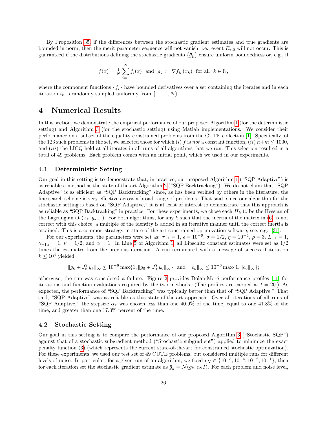By Proposition [35,](#page-24-1) if the differences between the stochastic gradient estimates and true gradients are bounded in norm, then the merit parameter sequence will not vanish, i.e., event  $E_{\tau,0}$  will not occur. This is guaranteed if the distributions defining the stochastic gradients  $\{\bar{g}_k\}$  ensure uniform boundedness or, e.g., if

$$
f(x) = \frac{1}{N} \sum_{i=1}^{N} f_i(x) \text{ and } \overline{g}_k := \nabla f_{i_k}(x_k) \text{ for all } k \in \mathbb{N},
$$

where the component functions  $\{f_i\}$  have bounded derivatives over a set containing the iterates and in each iteration  $i_k$  is randomly sampled uniformly from  $\{1, \ldots, N\}$ .

## <span id="page-25-0"></span>4 Numerical Results

In this section, we demonstrate the empirical performance of our proposed Algorithm [1](#page-7-0) (for the deterministic setting) and Algorithm [3](#page-14-0) (for the stochastic setting) using Matlab implementations. We consider their performance on a subset of the equality constrained problems from the CUTE collection [\[1\]](#page-27-2). Specifically, of the 123 such problems in the set, we selected those for which (i) f is not a constant function,  $(ii) n+m \le 1000$ , and *(iii)* the LICQ held at all iterates in all runs of all algorithms that we ran. This selection resulted in a total of 49 problems. Each problem comes with an initial point, which we used in our experiments.

#### 4.1 Deterministic Setting

Our goal in this setting is to demonstrate that, in practice, our proposed Algorithm [1](#page-7-0) ("SQP Adaptive") is as reliable a method as the state-of-the-art Algorithm [2](#page-8-0) ("SQP Backtracking"). We do not claim that "SQP Adaptive" is as efficient as "SQP Backtracking" since, as has been verified by others in the literature, the line search scheme is very effective across a broad range of problems. That said, since our algorithm for the stochastic setting is based on "SQP Adaptive," it is at least of interest to demonstrate that this approach is as reliable as "SQP Backtracking" in practice. For these experiments, we chose each  $H_k$  to be the Hessian of the Lagrangian at  $(x_k, y_{k-1})$ . For both algorithms, for any k such that the inertia of the matrix in [\(6\)](#page-4-3) is not correct with this choice, a multiple of the identity is added in an iterative manner until the correct inertia is attained. This is a common strategy in state-of-the-art constrained optimization software; see, e.g., [\[31\]](#page-29-11).

For our experiments, the parameters were set as:  $\tau_{-1} = 1$ ,  $\epsilon = 10^{-6}$ ,  $\sigma = 1/2$ ,  $\eta = 10^{-4}$ ,  $\rho = 3$ ,  $L_{-1} = 1$ ,  $\gamma_{-1,i} = 1, \nu = 1/2$  $\gamma_{-1,i} = 1, \nu = 1/2$  $\gamma_{-1,i} = 1, \nu = 1/2$ , and  $\alpha = 1$ . In Line [5](#page-7-0) of Algorithm 1, all Lipschitz constant estimates were set as  $1/2$ times the estimates from the previous iteration. A run terminated with a message of success if iteration  $k \leq 10^4$  yielded

$$
||g_k + J_k^T y_k||_{\infty} \le 10^{-6} \max\{1, ||g_0 + J_0^T y_0||_{\infty}\}\
$$
and  $||c_k||_{\infty} \le 10^{-6} \max\{1, ||c_0||_{\infty}\};$ 

otherwise, the run was considered a failure. Figure [2](#page-26-1) provides Dolan-Mor´e performance profiles [\[11\]](#page-28-17) for iterations and function evaluations required by the two methods. (The profiles are capped at  $t = 20$ .) As expected, the performance of "SQP Backtracking" was typically better than that of "SQP Adaptive." That said, "SQP Adaptive" was as reliable as this state-of-the-art approach. Over all iterations of all runs of "SQP Adaptive," the stepsize  $\alpha_k$  was chosen less than one 40.9% of the time, equal to one 41.8% of the time, and greater than one 17.3% percent of the time.

#### 4.2 Stochastic Setting

Our goal in this setting is to compare the performance of our proposed Algorithm [3](#page-14-0) ("Stochastic SQP") against that of a stochastic subgradient method ("Stochastic subgradient") applied to minimize the exact penalty function [\(3\)](#page-4-5) (which represents the current state-of-the-art for constrained stochastic optimization). For these experiments, we used our test set of 49 CUTE problems, but considered multiple runs for different levels of noise. In particular, for a given run of an algorithm, we fixed  $\epsilon_N \in \{10^{-8}, 10^{-4}, 10^{-2}, 10^{-1}\}$ , then for each iteration set the stochastic gradient estimate as  $\bar{g}_k = \mathcal{N}(g_k, \epsilon_N I)$ . For each problem and noise level,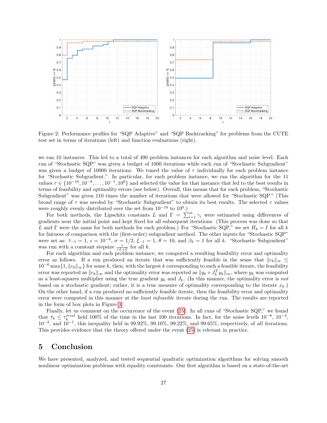

<span id="page-26-1"></span>Figure 2: Performance profiles for "SQP Adaptive" and "SQP Backtracking" for problems from the CUTE test set in terms of iterations (left) and function evaluations (right).

we ran 10 instances. This led to a total of 490 problem instances for each algorithm and noise level. Each run of "Stochastic SQP" was given a budget of 1000 iterations while each run of "Stochastic Subgradient" was given a budget of 10000 iterations. We tuned the value of  $\tau$  individually for each problem instance for "Stochastic Subgradient." In particular, for each problem instance, we ran the algorithm for the 11 values  $\tau \in \{10^{-10}, 10^{-9}, \ldots, 10^{-1}, 10^{0}\}\$  and selected the value for that instance that led to the best results in terms of feasibility and optimality errors (see below). Overall, this means that for each problem, "Stochastic Subgradient" was given 110 times the number of iterations that were allowed for "Stochastic SQP." (This broad range of  $\tau$  was needed by "Stochastic Subgradient" to obtain its best results. The selected  $\tau$  values were roughly evenly distributed over the set from  $10^{-10}$  to  $10^{0}$ .)

For both methods, the Lipschitz constants L and  $\Gamma = \sum_{i=1}^{m} \gamma_i$  were estimated using differences of gradients near the initial point and kept fixed for all subsequent iterations. (This process was done so that L and  $\Gamma$  were the same for both methods for each problem.) For "Stochastic SQP," we set  $H_k = I$  for all k for fairness of comparison with the (first-order) subgradient method. The other inputs for "Stochastic SQP" were set as:  $\bar{\tau}_{-1} = 1$ ,  $\epsilon = 10^{-6}$ ,  $\sigma = 1/2$ ,  $\bar{\xi}_{-1} = 1$ ,  $\theta = 10$ , and  $\beta_k = 1$  for all k. "Stochastic Subgradient" was run with a constant stepsize  $\frac{\tau}{\tau L+\Gamma}$  for all k.

For each algorithm and each problem instance, we computed a resulting feasibility error and optimality error as follows. If a run produced an iterate that was sufficiently feasible in the sense that  $||c_k||_{\infty} \le$  $10^{-6}$  max $\{1, \|c_0\|_{\infty}\}$  for some k, then, with the largest k corresponding to such a feasible iterate, the feasibility error was reported as  $||c_k||_{\infty}$  and the optimality error was reported as  $||g_k + J_k^T y_k||_{\infty}$ , where  $y_k$  was computed as a least-squares multiplier using the true gradient  $g_k$  and  $J_k$ . (In this manner, the optimality error is not based on a stochastic gradient; rather, it is a true measure of optimality corresponding to the iterate  $x_k$ . On the other hand, if a run produced no sufficiently feasible iterate, then the feasibility error and optimality error were computed in this manner at the *least infeasible* iterate during the run. The results are reported in the form of box plots in Figure [3.](#page-27-3)

Finally, let us comment on the occurrence of the event [\(25\)](#page-19-0). In all runs of "Stochastic SQP," we found that  $\bar{\tau}_k \leq \tau_k^{trial}$  held 100% of the time in the last 100 iterations. In fact, for the noise levels  $10^{-8}$ ,  $10^{-4}$ ,  $10^{-2}$ , and  $10^{-1}$ , this inequality held in 99.92%, 99.10%, 99.22%, and 99.65%, respectively, of all iterations. This provides evidence that the theory offered under the event [\(25\)](#page-19-0) is relevant in practice.

## <span id="page-26-0"></span>5 Conclusion

We have presented, analyzed, and tested sequential quadratic optimization algorithms for solving smooth nonlinear optimization problems with equality constraints. Our first algorithm is based on a state-of-the-art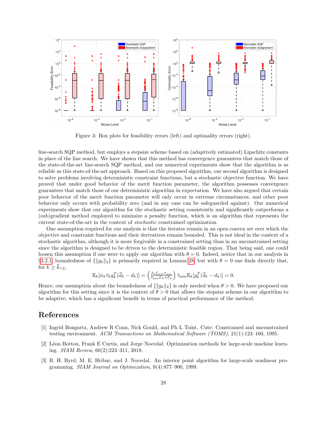

<span id="page-27-3"></span>Figure 3: Box plots for feasibility errors (left) and optimality errors (right).

line-search SQP method, but employs a stepsize scheme based on (adaptively estimated) Lipschitz constants in place of the line search. We have shown that this method has convergence guarantees that match those of the state-of-the-art line-search SQP method, and our numerical experiments show that the algorithm is as reliable as this state-of-the-art approach. Based on this proposed algorithm, our second algorithm is designed to solve problems involving deterministic constraint functions, but a stochastic objective function. We have proved that under good behavior of the merit function parameter, the algorithm possesses convergence guarantees that match those of our deterministic algorithm in expectation. We have also argued that certain poor behavior of the merit function parameter will only occur in extreme circumstances, and other poor behavior only occurs with probability zero (and in any case can be safeguarded against). Our numerical experiments show that our algorithm for the stochastic setting consistently and significantly outperforms a (sub)gradient method employed to minimize a penalty function, which is an algorithm that represents the current state-of-the-art in the context of stochastic constrained optimization.

One assumption required for our analysis is that the iterates remain in an open convex set over which the objective and constraint functions and their derivatives remain bounded. This is not ideal in the context of a stochastic algorithm, although it is more forgivable in a constrained setting than in an unconstrained setting since the algorithm is designed to be driven to the deterministic feasible region. That being said, one could loosen this assumption if one were to apply our algorithm with  $\theta = 0$ . Indeed, notice that in our analysis in §[3.2.1,](#page-19-1) boundedness of  $\{||g_k||_2\}$  is primarily required in Lemma [28,](#page-19-3) but with  $\theta = 0$  one finds directly that, for  $k \geq \bar{k}_{\tau,\xi}$ ,

$$
\mathbb{E}_k[\bar{\alpha}_k \bar{\tau}_k g_k^T(\bar{d}_k - d_k)] = \left(\frac{\beta_k \bar{\xi}_{\min} \bar{\tau}_{\min}}{\bar{\tau}_{\min} L_k + \Gamma_k}\right) \bar{\tau}_{\min} \mathbb{E}_k[g_k^T(\bar{d}_k - d_k)] = 0.
$$

Hence, our assumption about the boundedness of  $\{||g_k||_2\}$  is only needed when  $\theta > 0$ . We have proposed our algorithm for this setting since it is the context of  $\theta > 0$  that allows the stepsize scheme in our algorithm to be adaptive, which has a significant benefit in terms of practical performance of the method.

## References

- <span id="page-27-2"></span>[1] Ingrid Bongartz, Andrew R Conn, Nick Gould, and Ph L Toint. Cute: Constrained and unconstrained testing environment. ACM Transactions on Mathematical Software (TOMS), 21(1):123–160, 1995.
- <span id="page-27-0"></span>[2] L´eon Bottou, Frank E Curtis, and Jorge Nocedal. Optimization methods for large-scale machine learning. SIAM Review, 60(2):223–311, 2018.
- <span id="page-27-1"></span>[3] R. H. Byrd, M. E. Hribar, and J. Nocedal. An interior point algorithm for large-scale nonlinear programming. SIAM Journal on Optimization, 9(4):877–900, 1999.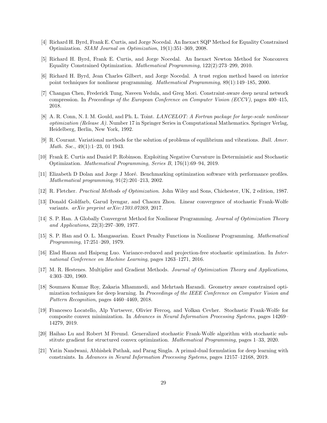- <span id="page-28-14"></span>[4] Richard H. Byrd, Frank E. Curtis, and Jorge Nocedal. An Inexact SQP Method for Equality Constrained Optimization. SIAM Journal on Optimization, 19(1):351–369, 2008.
- <span id="page-28-15"></span>[5] Richard H. Byrd, Frank E. Curtis, and Jorge Nocedal. An Inexact Newton Method for Nonconvex Equality Constrained Optimization. Mathematical Programming, 122(2):273–299, 2010.
- <span id="page-28-13"></span>[6] Richard H. Byrd, Jean Charles Gilbert, and Jorge Nocedal. A trust region method based on interior point techniques for nonlinear programming. Mathematical Programming, 89(1):149–185, 2000.
- <span id="page-28-6"></span>[7] Changan Chen, Frederick Tung, Naveen Vedula, and Greg Mori. Constraint-aware deep neural network compression. In Proceedings of the European Conference on Computer Vision (ECCV), pages 400–415, 2018.
- <span id="page-28-2"></span>[8] A. R. Conn, N. I. M. Gould, and Ph. L. Toint. LANCELOT: A Fortran package for large-scale nonlinear optimization (Release A). Number 17 in Springer Series in Computational Mathematics. Springer Verlag, Heidelberg, Berlin, New York, 1992.
- <span id="page-28-0"></span>[9] R. Courant. Variational methods for the solution of problems of equilibrium and vibrations. Bull. Amer. Math. Soc., 49(1):1–23, 01 1943.
- <span id="page-28-16"></span>[10] Frank E. Curtis and Daniel P. Robinson. Exploiting Negative Curvature in Deterministic and Stochastic Optimization. Mathematical Programming, Series B, 176(1):69–94, 2019.
- <span id="page-28-17"></span>[11] Elizabeth D Dolan and Jorge J Moré. Benchmarking optimization software with performance profiles. Mathematical programming, 91(2):201–213, 2002.
- <span id="page-28-1"></span>[12] R. Fletcher. Practical Methods of Optimization. John Wiley and Sons, Chichester, UK, 2 edition, 1987.
- <span id="page-28-9"></span>[13] Donald Goldfarb, Garud Iyengar, and Chaoxu Zhou. Linear convergence of stochastic Frank-Wolfe variants. arXiv preprint arXiv:1703.07269, 2017.
- <span id="page-28-4"></span>[14] S. P. Han. A Globally Convergent Method for Nonlinear Programming. Journal of Optimization Theory and Applications, 22(3):297–309, 1977.
- <span id="page-28-5"></span>[15] S. P. Han and O. L. Mangasarian. Exact Penalty Functions in Nonlinear Programming. Mathematical Programming, 17:251–269, 1979.
- <span id="page-28-10"></span>[16] Elad Hazan and Haipeng Luo. Variance-reduced and projection-free stochastic optimization. In International Conference on Machine Learning, pages 1263–1271, 2016.
- <span id="page-28-3"></span>[17] M. R. Hestenes. Multiplier and Gradient Methods. Journal of Optimization Theory and Applications, 4:303–320, 1969.
- <span id="page-28-7"></span>[18] Soumava Kumar Roy, Zakaria Mhammedi, and Mehrtash Harandi. Geometry aware constrained optimization techniques for deep learning. In Proceedings of the IEEE Conference on Computer Vision and Pattern Recognition, pages 4460–4469, 2018.
- <span id="page-28-11"></span>[19] Francesco Locatello, Alp Yurtsever, Olivier Fercoq, and Volkan Cevher. Stochastic Frank-Wolfe for composite convex minimization. In Advances in Neural Information Processing Systems, pages 14269– 14279, 2019.
- <span id="page-28-12"></span>[20] Haihao Lu and Robert M Freund. Generalized stochastic Frank-Wolfe algorithm with stochastic substitute gradient for structured convex optimization. Mathematical Programming, pages 1–33, 2020.
- <span id="page-28-8"></span>[21] Yatin Nandwani, Abhishek Pathak, and Parag Singla. A primal-dual formulation for deep learning with constraints. In Advances in Neural Information Processing Systems, pages 12157–12168, 2019.